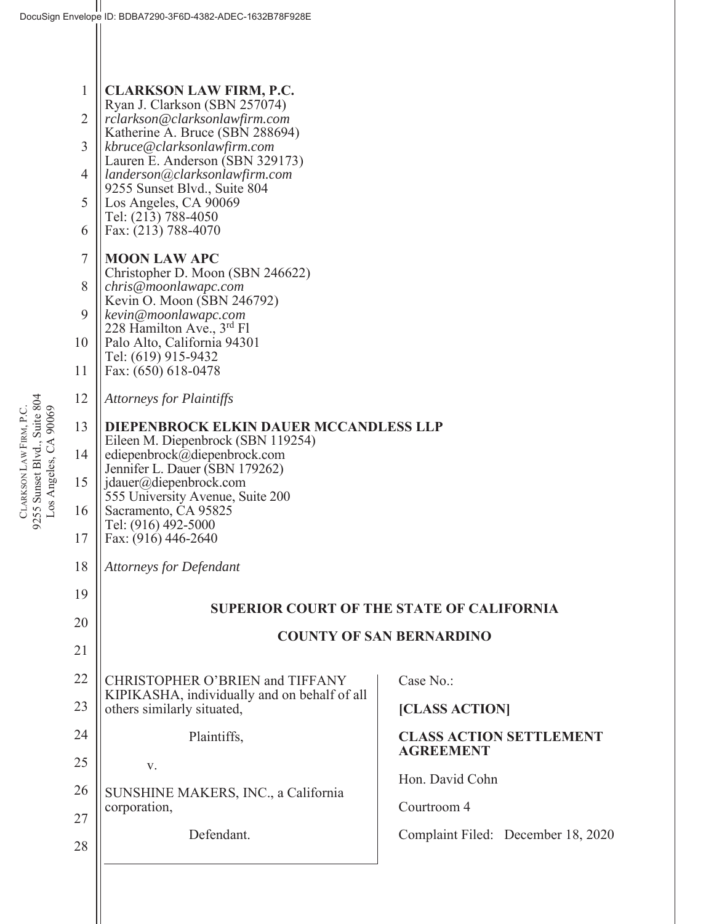| $\mathbf{1}$   | <b>CLARKSON LAW FIRM, P.C.</b>                                                                                                                                     |                                                    |  |  |
|----------------|--------------------------------------------------------------------------------------------------------------------------------------------------------------------|----------------------------------------------------|--|--|
| $\overline{2}$ | Ryan J. Clarkson (SBN 257074)<br>rclarkson@clarksonlawfirm.com<br>Katherine A. Bruce (SBN 288694)                                                                  |                                                    |  |  |
| $\overline{3}$ | kbruce@clarksonlawfirm.com<br>Lauren E. Anderson (SBN 329173)                                                                                                      |                                                    |  |  |
| $\overline{4}$ | landerson@clarksonlawfirm.com                                                                                                                                      |                                                    |  |  |
| 5              | 9255 Sunset Blvd., Suite 804<br>Los Angeles, CA 90069                                                                                                              |                                                    |  |  |
| 6              | Tel: (213) 788-4050<br>Fax: (213) 788-4070                                                                                                                         |                                                    |  |  |
| $\overline{7}$ | <b>MOON LAW APC</b><br>Christopher D. Moon (SBN 246622)                                                                                                            |                                                    |  |  |
| 8              | chris@moonlawapc.com<br>Kevin O. Moon (SBN 246792)                                                                                                                 |                                                    |  |  |
| 9              | kevin@moonlawapc.com<br>228 Hamilton Ave., 3rd Fl                                                                                                                  |                                                    |  |  |
| 10             | Palo Alto, California 94301<br>Tel: (619) 915-9432                                                                                                                 |                                                    |  |  |
| 11             | Fax: (650) 618-0478                                                                                                                                                |                                                    |  |  |
| 12             | <b>Attorneys for Plaintiffs</b>                                                                                                                                    |                                                    |  |  |
| 13             | DIEPENBROCK ELKIN DAUER MCCANDLESS LLP<br>Eileen M. Diepenbrock (SBN 119254)<br>ediepenbrock@diepenbrock.com                                                       |                                                    |  |  |
| 14             |                                                                                                                                                                    |                                                    |  |  |
| 15             | Jennifer L. Dauer (SBN 179262)<br>jdauer@diepenbrock.com<br>555 University Avenue, Suite 200<br>Sacramento, CA 95825<br>Tel: (916) 492-5000<br>Fax: (916) 446-2640 |                                                    |  |  |
| 16             |                                                                                                                                                                    |                                                    |  |  |
| 17             |                                                                                                                                                                    |                                                    |  |  |
| 18             | <b>Attorneys for Defendant</b>                                                                                                                                     |                                                    |  |  |
| 19             |                                                                                                                                                                    | <b>SUPERIOR COURT OF THE STATE OF CALIFORNIA</b>   |  |  |
| 20             | <b>COUNTY OF SAN BERNARDINO</b>                                                                                                                                    |                                                    |  |  |
| 21             |                                                                                                                                                                    |                                                    |  |  |
| 22             | CHRISTOPHER O'BRIEN and TIFFANY<br>KIPIKASHA, individually and on behalf of all                                                                                    | Case No.:                                          |  |  |
| 23             | others similarly situated,                                                                                                                                         | [CLASS ACTION]                                     |  |  |
| 24             | Plaintiffs,                                                                                                                                                        | <b>CLASS ACTION SETTLEMENT</b><br><b>AGREEMENT</b> |  |  |
| 25             | V.                                                                                                                                                                 | Hon. David Cohn                                    |  |  |
| 26             | SUNSHINE MAKERS, INC., a California<br>corporation,                                                                                                                | Courtroom 4                                        |  |  |
| 27             | Defendant.                                                                                                                                                         | Complaint Filed: December 18, 2020                 |  |  |
| 28             |                                                                                                                                                                    |                                                    |  |  |
|                |                                                                                                                                                                    |                                                    |  |  |

CLARKSON LAW FIRM, P.C.<br>9255 Sunset Blvd., Suite 804<br>Los Angeles, CA 90069 9255 Sunset Blvd., Suite 804 LAW FIRM, P.C. Los Angeles, CA 90069 **CLARKSON**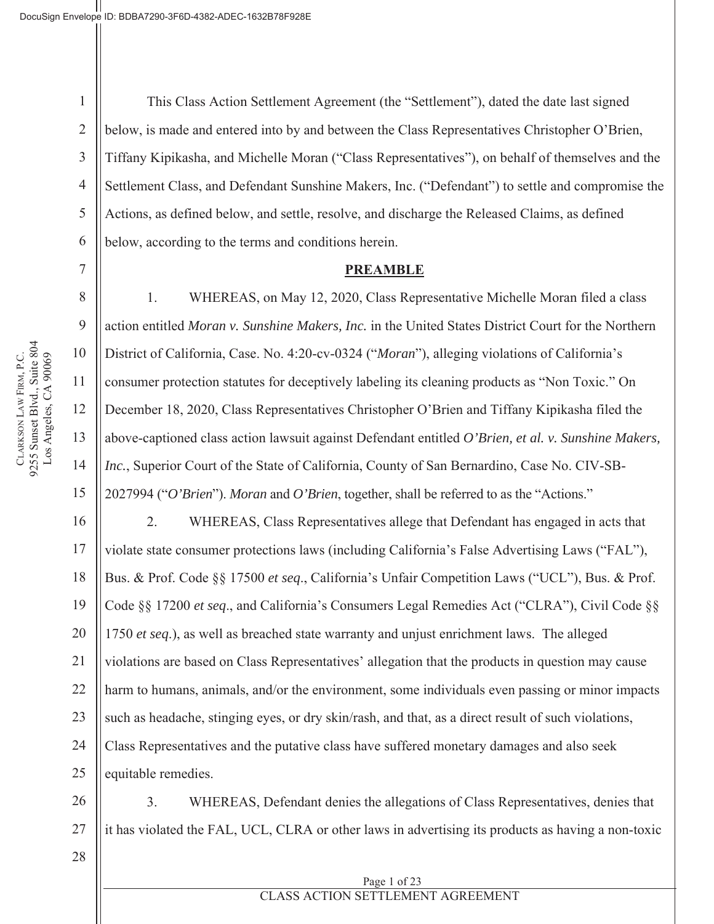2

5

7

8

9

10

11

12

13

14

15

16

17

18

19

20

21

22

23

24

25

3 4 6 This Class Action Settlement Agreement (the "Settlement"), dated the date last signed below, is made and entered into by and between the Class Representatives Christopher O'Brien, Tiffany Kipikasha, and Michelle Moran ("Class Representatives"), on behalf of themselves and the Settlement Class, and Defendant Sunshine Makers, Inc. ("Defendant") to settle and compromise the Actions, as defined below, and settle, resolve, and discharge the Released Claims, as defined below, according to the terms and conditions herein.

#### **PREAMBLE**

1. WHEREAS, on May 12, 2020, Class Representative Michelle Moran filed a class action entitled *Moran v. Sunshine Makers, Inc.* in the United States District Court for the Northern District of California, Case. No. 4:20-cv-0324 ("*Moran*"), alleging violations of California's consumer protection statutes for deceptively labeling its cleaning products as "Non Toxic." On December 18, 2020, Class Representatives Christopher O'Brien and Tiffany Kipikasha filed the above-captioned class action lawsuit against Defendant entitled *O'Brien, et al. v. Sunshine Makers, Inc.*, Superior Court of the State of California, County of San Bernardino, Case No. CIV-SB-2027994 ("*O'Brien*"). *Moran* and *O'Brien*, together, shall be referred to as the "Actions."

2. WHEREAS, Class Representatives allege that Defendant has engaged in acts that violate state consumer protections laws (including California's False Advertising Laws ("FAL"), Bus. & Prof. Code §§ 17500 *et seq*., California's Unfair Competition Laws ("UCL"), Bus. & Prof. Code §§ 17200 *et seq*., and California's Consumers Legal Remedies Act ("CLRA"), Civil Code §§ 1750 *et seq*.), as well as breached state warranty and unjust enrichment laws. The alleged violations are based on Class Representatives' allegation that the products in question may cause harm to humans, animals, and/or the environment, some individuals even passing or minor impacts such as headache, stinging eyes, or dry skin/rash, and that, as a direct result of such violations, Class Representatives and the putative class have suffered monetary damages and also seek equitable remedies.

26 27 3. WHEREAS, Defendant denies the allegations of Class Representatives, denies that it has violated the FAL, UCL, CLRA or other laws in advertising its products as having a non-toxic

28

CLARKSON LAW FIRM, P.C.<br>9255 Sunset Blvd., Suite 804 9255 Sunset Blvd., Suite 804 Los Angeles, CA 90069 LAW FIRM, P.C. Los Angeles, CA 90069 **CLARKSON** 

#### Page 1 of 23 CLASS ACTION SETTLEMENT AGREEMENT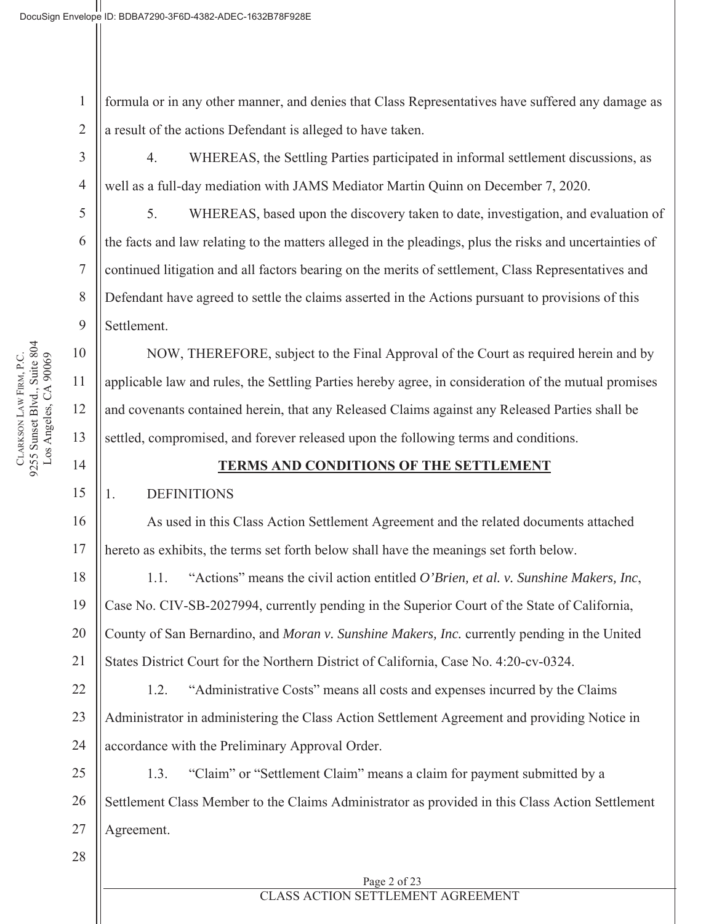1 2 formula or in any other manner, and denies that Class Representatives have suffered any damage as a result of the actions Defendant is alleged to have taken.

3

4

5

6

7

8

9

10

11

12

13

14

15

16

17

18

21

28

4. WHEREAS, the Settling Parties participated in informal settlement discussions, as well as a full-day mediation with JAMS Mediator Martin Quinn on December 7, 2020.

5. WHEREAS, based upon the discovery taken to date, investigation, and evaluation of the facts and law relating to the matters alleged in the pleadings, plus the risks and uncertainties of continued litigation and all factors bearing on the merits of settlement, Class Representatives and Defendant have agreed to settle the claims asserted in the Actions pursuant to provisions of this Settlement.

NOW, THEREFORE, subject to the Final Approval of the Court as required herein and by applicable law and rules, the Settling Parties hereby agree, in consideration of the mutual promises and covenants contained herein, that any Released Claims against any Released Parties shall be settled, compromised, and forever released upon the following terms and conditions.

### **TERMS AND CONDITIONS OF THE SETTLEMENT**

### 1. DEFINITIONS

As used in this Class Action Settlement Agreement and the related documents attached hereto as exhibits, the terms set forth below shall have the meanings set forth below.

19 20 1.1. "Actions" means the civil action entitled *O'Brien, et al. v. Sunshine Makers, Inc*, Case No. CIV-SB-2027994, currently pending in the Superior Court of the State of California, County of San Bernardino, and *Moran v. Sunshine Makers, Inc.* currently pending in the United States District Court for the Northern District of California, Case No. 4:20-cv-0324.

22 23 24 1.2. "Administrative Costs" means all costs and expenses incurred by the Claims Administrator in administering the Class Action Settlement Agreement and providing Notice in accordance with the Preliminary Approval Order.

25 26 27 1.3. "Claim" or "Settlement Claim" means a claim for payment submitted by a Settlement Class Member to the Claims Administrator as provided in this Class Action Settlement Agreement.

# CLASS ACTION SETTLEMENT AGREEMENT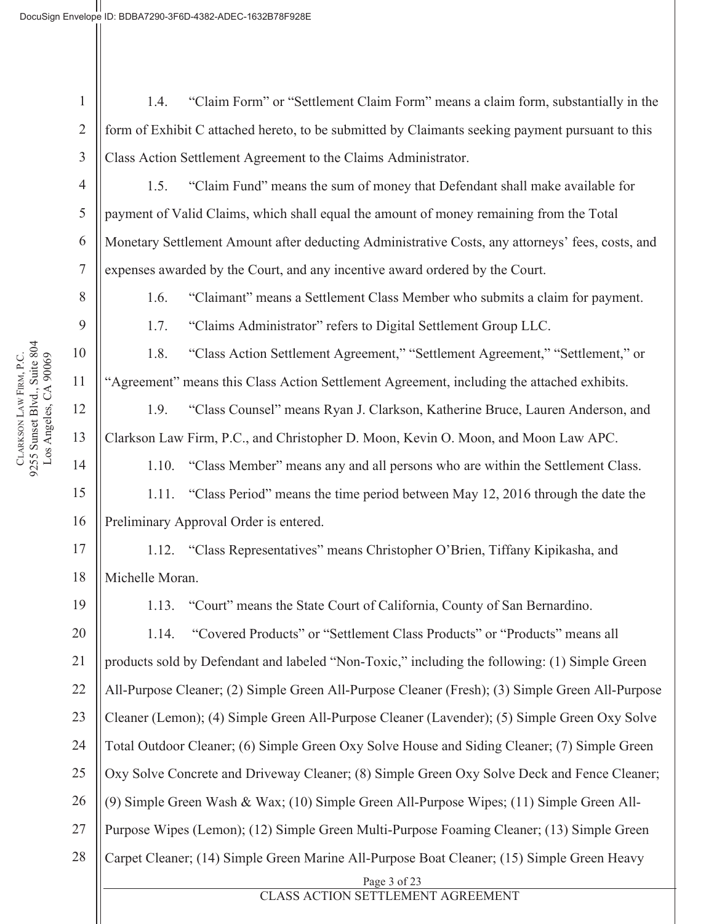2

3

4

5

6

7

8

9

10

11

12

13

14

15

16

17

18

19

1.4. "Claim Form" or "Settlement Claim Form" means a claim form, substantially in the form of Exhibit C attached hereto, to be submitted by Claimants seeking payment pursuant to this Class Action Settlement Agreement to the Claims Administrator.

1.5. "Claim Fund" means the sum of money that Defendant shall make available for payment of Valid Claims, which shall equal the amount of money remaining from the Total Monetary Settlement Amount after deducting Administrative Costs, any attorneys' fees, costs, and expenses awarded by the Court, and any incentive award ordered by the Court.

1.6. "Claimant" means a Settlement Class Member who submits a claim for payment.

1.7. "Claims Administrator" refers to Digital Settlement Group LLC.

1.8. "Class Action Settlement Agreement," "Settlement Agreement," "Settlement," or "Agreement" means this Class Action Settlement Agreement, including the attached exhibits.

1.9. "Class Counsel" means Ryan J. Clarkson, Katherine Bruce, Lauren Anderson, and Clarkson Law Firm, P.C., and Christopher D. Moon, Kevin O. Moon, and Moon Law APC.

1.10. "Class Member" means any and all persons who are within the Settlement Class.

1.11. "Class Period" means the time period between May 12, 2016 through the date the Preliminary Approval Order is entered.

1.12. "Class Representatives" means Christopher O'Brien, Tiffany Kipikasha, and Michelle Moran.

1.13. "Court" means the State Court of California, County of San Bernardino.

20 21 22 23 24 25 26 27 28 Page 3 of 23 1.14. "Covered Products" or "Settlement Class Products" or "Products" means all products sold by Defendant and labeled "Non-Toxic," including the following: (1) Simple Green All-Purpose Cleaner; (2) Simple Green All-Purpose Cleaner (Fresh); (3) Simple Green All-Purpose Cleaner (Lemon); (4) Simple Green All-Purpose Cleaner (Lavender); (5) Simple Green Oxy Solve Total Outdoor Cleaner; (6) Simple Green Oxy Solve House and Siding Cleaner; (7) Simple Green Oxy Solve Concrete and Driveway Cleaner; (8) Simple Green Oxy Solve Deck and Fence Cleaner; (9) Simple Green Wash & Wax; (10) Simple Green All-Purpose Wipes; (11) Simple Green All-Purpose Wipes (Lemon); (12) Simple Green Multi-Purpose Foaming Cleaner; (13) Simple Green Carpet Cleaner; (14) Simple Green Marine All-Purpose Boat Cleaner; (15) Simple Green Heavy

# CLASS ACTION SETTLEMENT AGREEMENT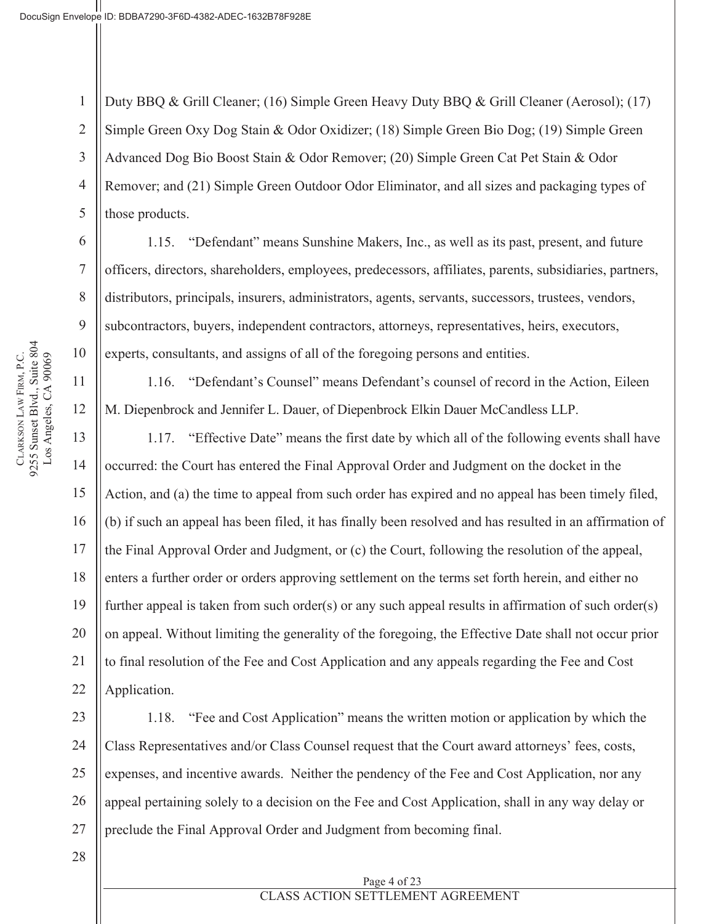1 2 3 4 5 Duty BBQ & Grill Cleaner; (16) Simple Green Heavy Duty BBQ & Grill Cleaner (Aerosol); (17) Simple Green Oxy Dog Stain & Odor Oxidizer; (18) Simple Green Bio Dog; (19) Simple Green Advanced Dog Bio Boost Stain & Odor Remover; (20) Simple Green Cat Pet Stain & Odor Remover; and (21) Simple Green Outdoor Odor Eliminator, and all sizes and packaging types of those products.

1.15. "Defendant" means Sunshine Makers, Inc., as well as its past, present, and future officers, directors, shareholders, employees, predecessors, affiliates, parents, subsidiaries, partners, distributors, principals, insurers, administrators, agents, servants, successors, trustees, vendors, subcontractors, buyers, independent contractors, attorneys, representatives, heirs, executors, experts, consultants, and assigns of all of the foregoing persons and entities.

1.16. "Defendant's Counsel" means Defendant's counsel of record in the Action, Eileen M. Diepenbrock and Jennifer L. Dauer, of Diepenbrock Elkin Dauer McCandless LLP.

1.17. "Effective Date" means the first date by which all of the following events shall have occurred: the Court has entered the Final Approval Order and Judgment on the docket in the Action, and (a) the time to appeal from such order has expired and no appeal has been timely filed, (b) if such an appeal has been filed, it has finally been resolved and has resulted in an affirmation of the Final Approval Order and Judgment, or (c) the Court, following the resolution of the appeal, enters a further order or orders approving settlement on the terms set forth herein, and either no further appeal is taken from such order(s) or any such appeal results in affirmation of such order(s) on appeal. Without limiting the generality of the foregoing, the Effective Date shall not occur prior to final resolution of the Fee and Cost Application and any appeals regarding the Fee and Cost Application.

23 24 25 26 27 1.18. "Fee and Cost Application" means the written motion or application by which the Class Representatives and/or Class Counsel request that the Court award attorneys' fees, costs, expenses, and incentive awards. Neither the pendency of the Fee and Cost Application, nor any appeal pertaining solely to a decision on the Fee and Cost Application, shall in any way delay or preclude the Final Approval Order and Judgment from becoming final.

28

CLARKSON LAW FIRM, P.C.<br>9255 Sunset Blvd., Suite 804 9255 Sunset Blvd., Suite 804 Los Angeles, CA 90069 LAW FIRM, P.C. Los Angeles, CA 90069 **CLARKSON** 

6

7

8

9

10

11

12

13

14

15

16

17

18

19

20

21

22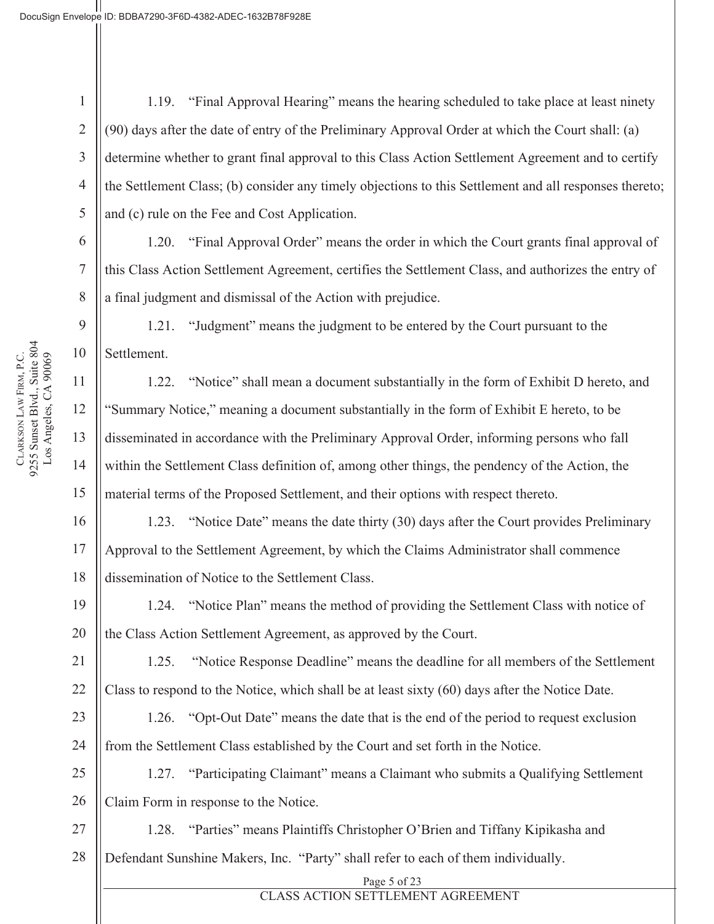2

3

5

6

7

8

9

10

11

12

13

14

15

16

17

18

19

20

21

22

23

24

4 1.19. "Final Approval Hearing" means the hearing scheduled to take place at least ninety (90) days after the date of entry of the Preliminary Approval Order at which the Court shall: (a) determine whether to grant final approval to this Class Action Settlement Agreement and to certify the Settlement Class; (b) consider any timely objections to this Settlement and all responses thereto; and (c) rule on the Fee and Cost Application.

1.20. "Final Approval Order" means the order in which the Court grants final approval of this Class Action Settlement Agreement, certifies the Settlement Class, and authorizes the entry of a final judgment and dismissal of the Action with prejudice.

1.21. "Judgment" means the judgment to be entered by the Court pursuant to the Settlement.

1.22. "Notice" shall mean a document substantially in the form of Exhibit D hereto, and "Summary Notice," meaning a document substantially in the form of Exhibit E hereto, to be disseminated in accordance with the Preliminary Approval Order, informing persons who fall within the Settlement Class definition of, among other things, the pendency of the Action, the material terms of the Proposed Settlement, and their options with respect thereto.

1.23. "Notice Date" means the date thirty (30) days after the Court provides Preliminary Approval to the Settlement Agreement, by which the Claims Administrator shall commence dissemination of Notice to the Settlement Class.

1.24. "Notice Plan" means the method of providing the Settlement Class with notice of the Class Action Settlement Agreement, as approved by the Court.

1.25. "Notice Response Deadline" means the deadline for all members of the Settlement Class to respond to the Notice, which shall be at least sixty (60) days after the Notice Date.

1.26. "Opt-Out Date" means the date that is the end of the period to request exclusion from the Settlement Class established by the Court and set forth in the Notice.

25 26 1.27. "Participating Claimant" means a Claimant who submits a Qualifying Settlement Claim Form in response to the Notice.

27 28 1.28. "Parties" means Plaintiffs Christopher O'Brien and Tiffany Kipikasha and Defendant Sunshine Makers, Inc. "Party" shall refer to each of them individually.

#### Page 5 of 23 CLASS ACTION SETTLEMENT AGREEMENT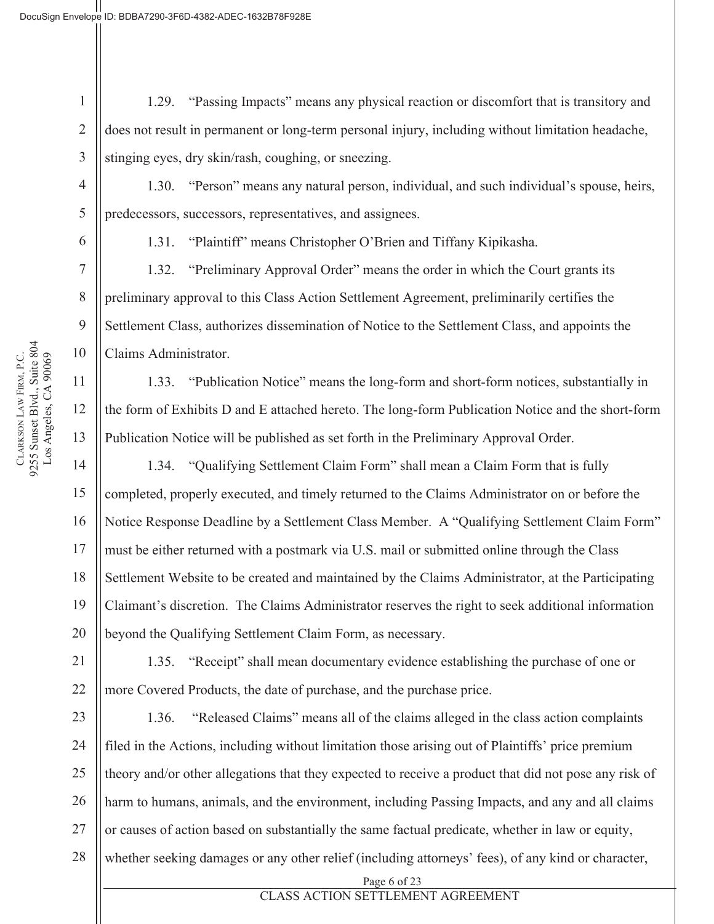3 1.29. "Passing Impacts" means any physical reaction or discomfort that is transitory and does not result in permanent or long-term personal injury, including without limitation headache, stinging eyes, dry skin/rash, coughing, or sneezing.

1.30. "Person" means any natural person, individual, and such individual's spouse, heirs, predecessors, successors, representatives, and assignees.

1

2

4

5

6

7

8

9

10

11

12

13

14

15

16

17

18

19

20

21

22

1.31. "Plaintiff" means Christopher O'Brien and Tiffany Kipikasha.

1.32. "Preliminary Approval Order" means the order in which the Court grants its preliminary approval to this Class Action Settlement Agreement, preliminarily certifies the Settlement Class, authorizes dissemination of Notice to the Settlement Class, and appoints the Claims Administrator.

1.33. "Publication Notice" means the long-form and short-form notices, substantially in the form of Exhibits D and E attached hereto. The long-form Publication Notice and the short-form Publication Notice will be published as set forth in the Preliminary Approval Order.

1.34. "Qualifying Settlement Claim Form" shall mean a Claim Form that is fully completed, properly executed, and timely returned to the Claims Administrator on or before the Notice Response Deadline by a Settlement Class Member. A "Qualifying Settlement Claim Form" must be either returned with a postmark via U.S. mail or submitted online through the Class Settlement Website to be created and maintained by the Claims Administrator, at the Participating Claimant's discretion. The Claims Administrator reserves the right to seek additional information beyond the Qualifying Settlement Claim Form, as necessary.

1.35. "Receipt" shall mean documentary evidence establishing the purchase of one or more Covered Products, the date of purchase, and the purchase price.

23 24 25 26 27 28 1.36. "Released Claims" means all of the claims alleged in the class action complaints filed in the Actions, including without limitation those arising out of Plaintiffs' price premium theory and/or other allegations that they expected to receive a product that did not pose any risk of harm to humans, animals, and the environment, including Passing Impacts, and any and all claims or causes of action based on substantially the same factual predicate, whether in law or equity, whether seeking damages or any other relief (including attorneys' fees), of any kind or character,

Page 6 of 23

### CLASS ACTION SETTLEMENT AGREEMENT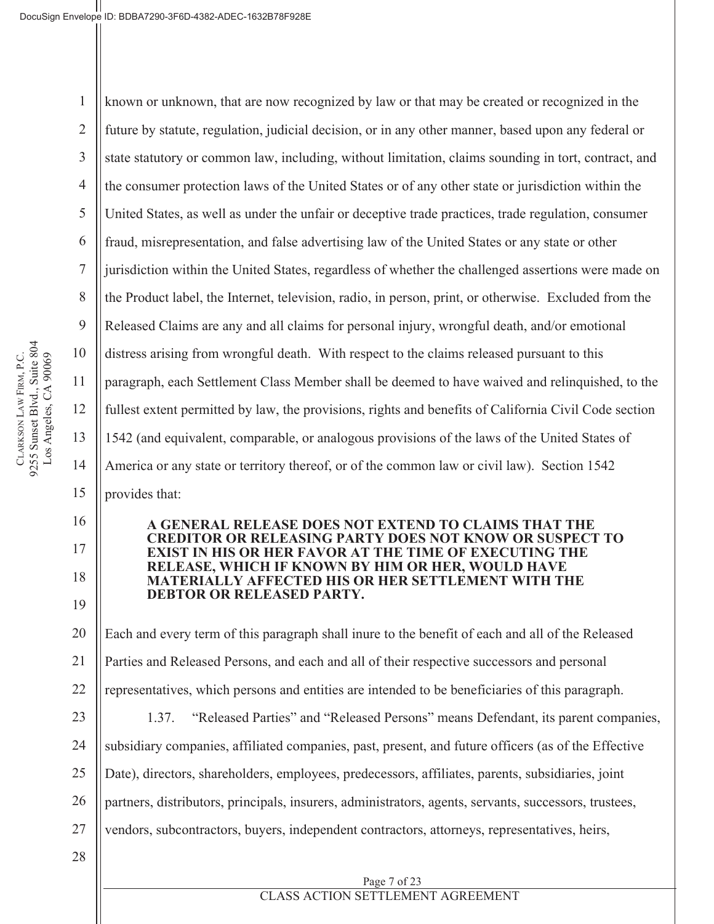2

3

5

7

8

9

10

11

12

13

14

15

16

17

18

19

4 6 known or unknown, that are now recognized by law or that may be created or recognized in the future by statute, regulation, judicial decision, or in any other manner, based upon any federal or state statutory or common law, including, without limitation, claims sounding in tort, contract, and the consumer protection laws of the United States or of any other state or jurisdiction within the United States, as well as under the unfair or deceptive trade practices, trade regulation, consumer fraud, misrepresentation, and false advertising law of the United States or any state or other jurisdiction within the United States, regardless of whether the challenged assertions were made on the Product label, the Internet, television, radio, in person, print, or otherwise. Excluded from the Released Claims are any and all claims for personal injury, wrongful death, and/or emotional distress arising from wrongful death. With respect to the claims released pursuant to this paragraph, each Settlement Class Member shall be deemed to have waived and relinquished, to the fullest extent permitted by law, the provisions, rights and benefits of California Civil Code section 1542 (and equivalent, comparable, or analogous provisions of the laws of the United States of America or any state or territory thereof, or of the common law or civil law). Section 1542 provides that:

#### **A GENERAL RELEASE DOES NOT EXTEND TO CLAIMS THAT THE CREDITOR OR RELEASING PARTY DOES NOT KNOW OR SUSPECT TO EXIST IN HIS OR HER FAVOR AT THE TIME OF EXECUTING THE RELEASE, WHICH IF KNOWN BY HIM OR HER, WOULD HAVE MATERIALLY AFFECTED HIS OR HER SETTLEMENT WITH THE DEBTOR OR RELEASED PARTY.**

20 21 22 Each and every term of this paragraph shall inure to the benefit of each and all of the Released Parties and Released Persons, and each and all of their respective successors and personal representatives, which persons and entities are intended to be beneficiaries of this paragraph.

23 24 25 27 1.37. "Released Parties" and "Released Persons" means Defendant, its parent companies, subsidiary companies, affiliated companies, past, present, and future officers (as of the Effective Date), directors, shareholders, employees, predecessors, affiliates, parents, subsidiaries, joint partners, distributors, principals, insurers, administrators, agents, servants, successors, trustees, vendors, subcontractors, buyers, independent contractors, attorneys, representatives, heirs,

> Page 7 of 23 CLASS ACTION SETTLEMENT AGREEMENT

28

CLARKSON LAW FIRM, P.C.<br>9255 Sunset Blvd., Suite 804 9255 Sunset Blvd., Suite 804 Los Angeles, CA 90069 LAW FIRM, P.C. Los Angeles, CA 90069 **CLARKSON** 

26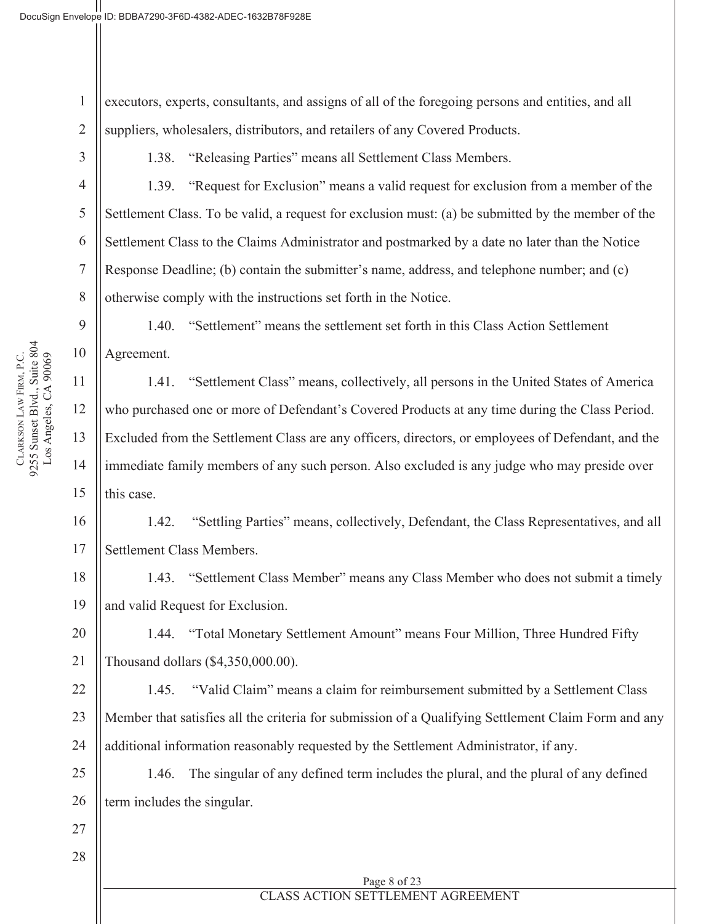executors, experts, consultants, and assigns of all of the foregoing persons and entities, and all suppliers, wholesalers, distributors, and retailers of any Covered Products.

3

4

5

6

7

8

9

10

11

12

13

14

15

1

2

1.38. "Releasing Parties" means all Settlement Class Members.

1.39. "Request for Exclusion" means a valid request for exclusion from a member of the Settlement Class. To be valid, a request for exclusion must: (a) be submitted by the member of the Settlement Class to the Claims Administrator and postmarked by a date no later than the Notice Response Deadline; (b) contain the submitter's name, address, and telephone number; and (c) otherwise comply with the instructions set forth in the Notice.

1.40. "Settlement" means the settlement set forth in this Class Action Settlement Agreement.

1.41. "Settlement Class" means, collectively, all persons in the United States of America who purchased one or more of Defendant's Covered Products at any time during the Class Period. Excluded from the Settlement Class are any officers, directors, or employees of Defendant, and the immediate family members of any such person. Also excluded is any judge who may preside over this case.

1.42. "Settling Parties" means, collectively, Defendant, the Class Representatives, and all Settlement Class Members.

1.43. "Settlement Class Member" means any Class Member who does not submit a timely and valid Request for Exclusion.

1.44. "Total Monetary Settlement Amount" means Four Million, Three Hundred Fifty Thousand dollars (\$4,350,000.00).

1.45. "Valid Claim" means a claim for reimbursement submitted by a Settlement Class Member that satisfies all the criteria for submission of a Qualifying Settlement Claim Form and any additional information reasonably requested by the Settlement Administrator, if any.

1.46. The singular of any defined term includes the plural, and the plural of any defined term includes the singular.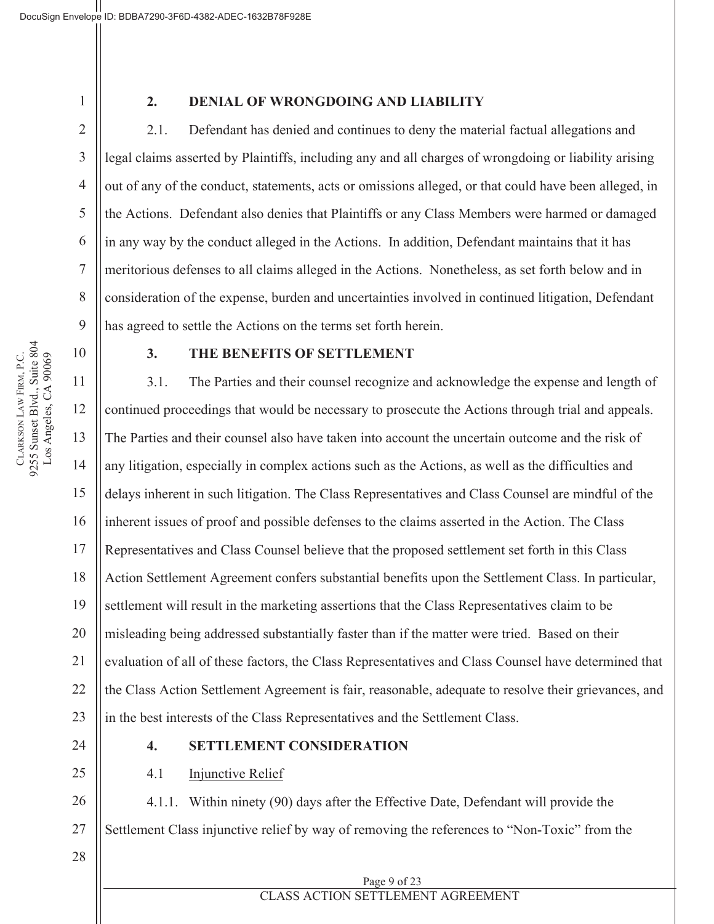2

3

4

5

6

7

8

9

#### **2. DENIAL OF WRONGDOING AND LIABILITY**

2.1. Defendant has denied and continues to deny the material factual allegations and legal claims asserted by Plaintiffs, including any and all charges of wrongdoing or liability arising out of any of the conduct, statements, acts or omissions alleged, or that could have been alleged, in the Actions. Defendant also denies that Plaintiffs or any Class Members were harmed or damaged in any way by the conduct alleged in the Actions. In addition, Defendant maintains that it has meritorious defenses to all claims alleged in the Actions. Nonetheless, as set forth below and in consideration of the expense, burden and uncertainties involved in continued litigation, Defendant has agreed to settle the Actions on the terms set forth herein.

10

**CLARKSON** 

LAW FIRM, P.C.

9255 Sunset Blvd., Suite 804 Los Angeles, CA 90069

CLARKSON LAW FIRM, P.C.<br>9255 Sunset Blvd., Suite 804 Los Angeles, CA 90069

#### **3. THE BENEFITS OF SETTLEMENT**

11 12 13 14 15 16 17 18 19 20 21 22 23 3.1. The Parties and their counsel recognize and acknowledge the expense and length of continued proceedings that would be necessary to prosecute the Actions through trial and appeals. The Parties and their counsel also have taken into account the uncertain outcome and the risk of any litigation, especially in complex actions such as the Actions, as well as the difficulties and delays inherent in such litigation. The Class Representatives and Class Counsel are mindful of the inherent issues of proof and possible defenses to the claims asserted in the Action. The Class Representatives and Class Counsel believe that the proposed settlement set forth in this Class Action Settlement Agreement confers substantial benefits upon the Settlement Class. In particular, settlement will result in the marketing assertions that the Class Representatives claim to be misleading being addressed substantially faster than if the matter were tried. Based on their evaluation of all of these factors, the Class Representatives and Class Counsel have determined that the Class Action Settlement Agreement is fair, reasonable, adequate to resolve their grievances, and in the best interests of the Class Representatives and the Settlement Class.

24

25

28

#### **4. SETTLEMENT CONSIDERATION**

4.1 Injunctive Relief

26 27 4.1.1. Within ninety (90) days after the Effective Date, Defendant will provide the Settlement Class injunctive relief by way of removing the references to "Non-Toxic" from the

Page 9 of 23 CLASS ACTION SETTLEMENT AGREEMENT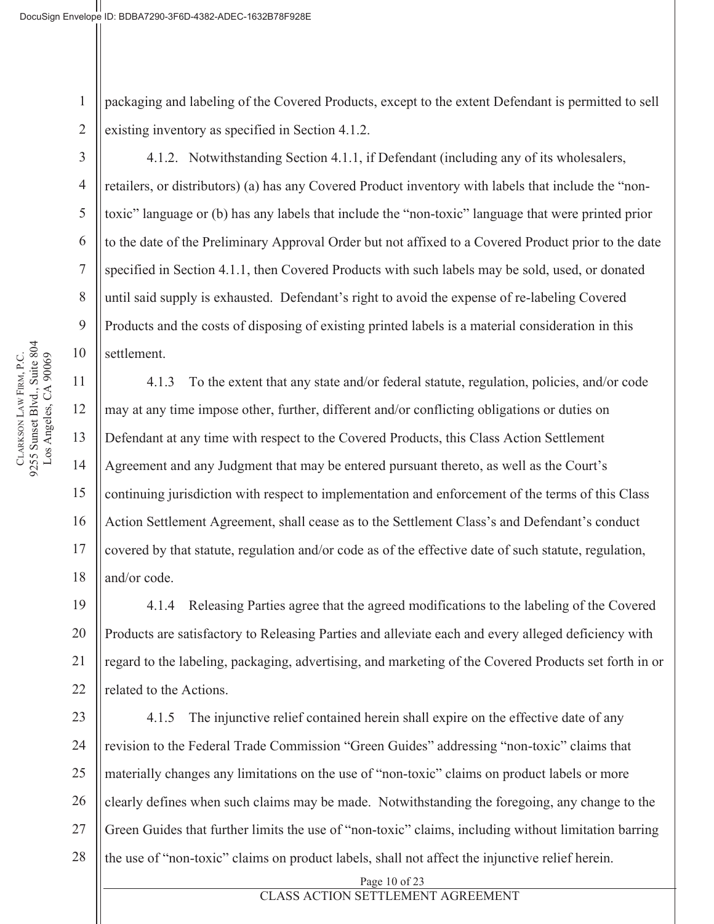1 2 packaging and labeling of the Covered Products, except to the extent Defendant is permitted to sell existing inventory as specified in Section 4.1.2.

4.1.2. Notwithstanding Section 4.1.1, if Defendant (including any of its wholesalers, retailers, or distributors) (a) has any Covered Product inventory with labels that include the "nontoxic" language or (b) has any labels that include the "non-toxic" language that were printed prior to the date of the Preliminary Approval Order but not affixed to a Covered Product prior to the date specified in Section 4.1.1, then Covered Products with such labels may be sold, used, or donated until said supply is exhausted. Defendant's right to avoid the expense of re-labeling Covered Products and the costs of disposing of existing printed labels is a material consideration in this settlement.

4.1.3 To the extent that any state and/or federal statute, regulation, policies, and/or code may at any time impose other, further, different and/or conflicting obligations or duties on Defendant at any time with respect to the Covered Products, this Class Action Settlement Agreement and any Judgment that may be entered pursuant thereto, as well as the Court's continuing jurisdiction with respect to implementation and enforcement of the terms of this Class Action Settlement Agreement, shall cease as to the Settlement Class's and Defendant's conduct covered by that statute, regulation and/or code as of the effective date of such statute, regulation, and/or code.

4.1.4 Releasing Parties agree that the agreed modifications to the labeling of the Covered Products are satisfactory to Releasing Parties and alleviate each and every alleged deficiency with regard to the labeling, packaging, advertising, and marketing of the Covered Products set forth in or related to the Actions.

4.1.5 The injunctive relief contained herein shall expire on the effective date of any revision to the Federal Trade Commission "Green Guides" addressing "non-toxic" claims that materially changes any limitations on the use of "non-toxic" claims on product labels or more clearly defines when such claims may be made. Notwithstanding the foregoing, any change to the Green Guides that further limits the use of "non-toxic" claims, including without limitation barring the use of "non-toxic" claims on product labels, shall not affect the injunctive relief herein.

Page 10 of 23

CLASS ACTION SETTLEMENT AGREEMENT

3

4

5

6

7

8

9

10

11

12

13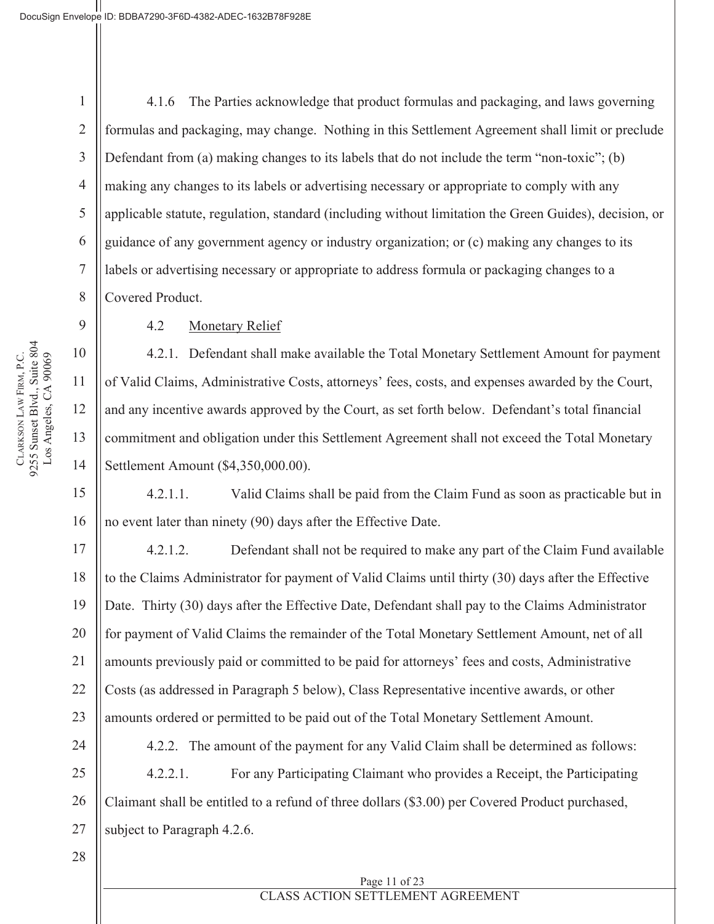2

3

4

5

6

7

8

9

10

11

12

13

14

15

16

17

21

22

23

28

4.1.6 The Parties acknowledge that product formulas and packaging, and laws governing formulas and packaging, may change. Nothing in this Settlement Agreement shall limit or preclude Defendant from (a) making changes to its labels that do not include the term "non-toxic"; (b) making any changes to its labels or advertising necessary or appropriate to comply with any applicable statute, regulation, standard (including without limitation the Green Guides), decision, or guidance of any government agency or industry organization; or (c) making any changes to its labels or advertising necessary or appropriate to address formula or packaging changes to a Covered Product.

4.2 Monetary Relief

4.2.1. Defendant shall make available the Total Monetary Settlement Amount for payment of Valid Claims, Administrative Costs, attorneys' fees, costs, and expenses awarded by the Court, and any incentive awards approved by the Court, as set forth below. Defendant's total financial commitment and obligation under this Settlement Agreement shall not exceed the Total Monetary Settlement Amount (\$4,350,000.00).

4.2.1.1. Valid Claims shall be paid from the Claim Fund as soon as practicable but in no event later than ninety (90) days after the Effective Date.

18 19 20 4.2.1.2. Defendant shall not be required to make any part of the Claim Fund available to the Claims Administrator for payment of Valid Claims until thirty (30) days after the Effective Date. Thirty (30) days after the Effective Date, Defendant shall pay to the Claims Administrator for payment of Valid Claims the remainder of the Total Monetary Settlement Amount, net of all amounts previously paid or committed to be paid for attorneys' fees and costs, Administrative Costs (as addressed in Paragraph 5 below), Class Representative incentive awards, or other amounts ordered or permitted to be paid out of the Total Monetary Settlement Amount.

24 25 26 27 4.2.2. The amount of the payment for any Valid Claim shall be determined as follows: 4.2.2.1. For any Participating Claimant who provides a Receipt, the Participating Claimant shall be entitled to a refund of three dollars (\$3.00) per Covered Product purchased, subject to Paragraph 4.2.6.

# CLASS ACTION SETTLEMENT AGREEMENT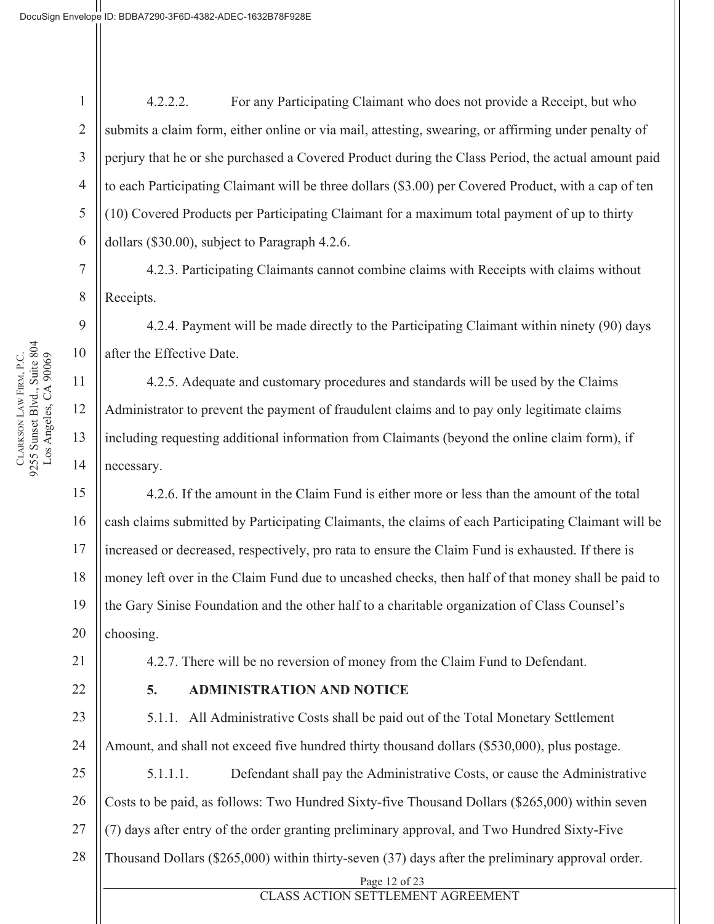2

3

4

5

6

7

8

9

10

11

12

13

14

15

16

17

21

22

23

24

4.2.2.2. For any Participating Claimant who does not provide a Receipt, but who submits a claim form, either online or via mail, attesting, swearing, or affirming under penalty of perjury that he or she purchased a Covered Product during the Class Period, the actual amount paid to each Participating Claimant will be three dollars (\$3.00) per Covered Product, with a cap of ten (10) Covered Products per Participating Claimant for a maximum total payment of up to thirty dollars (\$30.00), subject to Paragraph 4.2.6.

4.2.3. Participating Claimants cannot combine claims with Receipts with claims without Receipts.

4.2.4. Payment will be made directly to the Participating Claimant within ninety (90) days after the Effective Date.

4.2.5. Adequate and customary procedures and standards will be used by the Claims Administrator to prevent the payment of fraudulent claims and to pay only legitimate claims including requesting additional information from Claimants (beyond the online claim form), if necessary.

18 19 20 4.2.6. If the amount in the Claim Fund is either more or less than the amount of the total cash claims submitted by Participating Claimants, the claims of each Participating Claimant will be increased or decreased, respectively, pro rata to ensure the Claim Fund is exhausted. If there is money left over in the Claim Fund due to uncashed checks, then half of that money shall be paid to the Gary Sinise Foundation and the other half to a charitable organization of Class Counsel's choosing.

4.2.7. There will be no reversion of money from the Claim Fund to Defendant.

#### **5. ADMINISTRATION AND NOTICE**

5.1.1. All Administrative Costs shall be paid out of the Total Monetary Settlement Amount, and shall not exceed five hundred thirty thousand dollars (\$530,000), plus postage.

25 26 27 28 5.1.1.1. Defendant shall pay the Administrative Costs, or cause the Administrative Costs to be paid, as follows: Two Hundred Sixty-five Thousand Dollars (\$265,000) within seven (7) days after entry of the order granting preliminary approval, and Two Hundred Sixty-Five Thousand Dollars (\$265,000) within thirty-seven (37) days after the preliminary approval order.

Page 12 of 23

CLASS ACTION SETTLEMENT AGREEMENT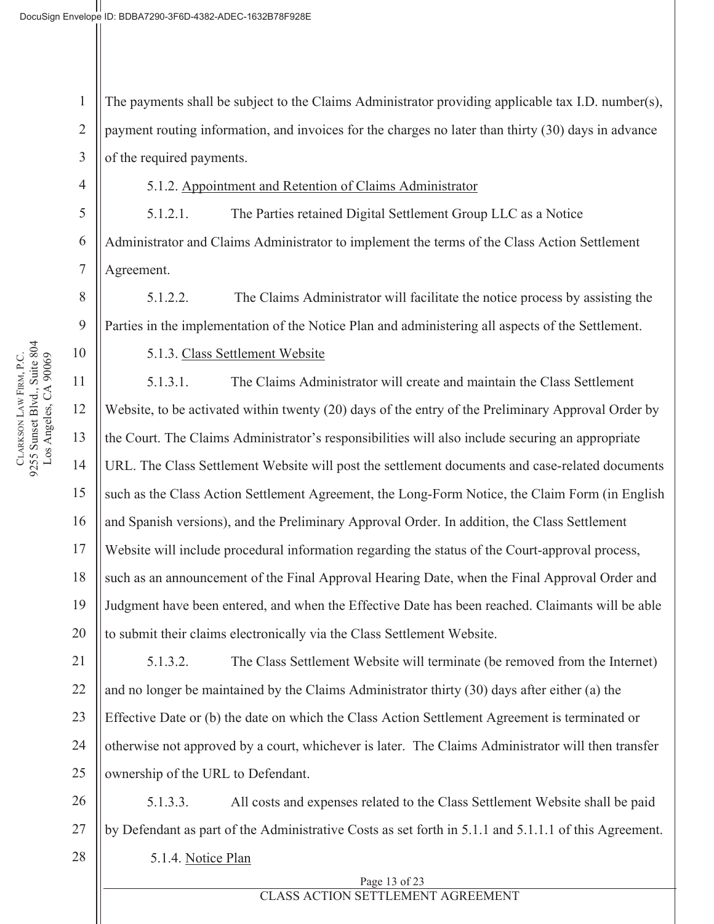2

4

5

6

7

8

9

10

11

12

13

14

15

16

17

18

19

20

28

3 The payments shall be subject to the Claims Administrator providing applicable tax I.D. number(s), payment routing information, and invoices for the charges no later than thirty (30) days in advance of the required payments.

5.1.2. Appointment and Retention of Claims Administrator

5.1.2.1. The Parties retained Digital Settlement Group LLC as a Notice Administrator and Claims Administrator to implement the terms of the Class Action Settlement Agreement.

5.1.2.2. The Claims Administrator will facilitate the notice process by assisting the Parties in the implementation of the Notice Plan and administering all aspects of the Settlement.

5.1.3. Class Settlement Website

5.1.3.1. The Claims Administrator will create and maintain the Class Settlement Website, to be activated within twenty (20) days of the entry of the Preliminary Approval Order by the Court. The Claims Administrator's responsibilities will also include securing an appropriate URL. The Class Settlement Website will post the settlement documents and case-related documents such as the Class Action Settlement Agreement, the Long-Form Notice, the Claim Form (in English and Spanish versions), and the Preliminary Approval Order. In addition, the Class Settlement Website will include procedural information regarding the status of the Court-approval process, such as an announcement of the Final Approval Hearing Date, when the Final Approval Order and Judgment have been entered, and when the Effective Date has been reached. Claimants will be able to submit their claims electronically via the Class Settlement Website.

21 22 23 24 25 5.1.3.2. The Class Settlement Website will terminate (be removed from the Internet) and no longer be maintained by the Claims Administrator thirty (30) days after either (a) the Effective Date or (b) the date on which the Class Action Settlement Agreement is terminated or otherwise not approved by a court, whichever is later. The Claims Administrator will then transfer ownership of the URL to Defendant.

26 27 5.1.3.3. All costs and expenses related to the Class Settlement Website shall be paid by Defendant as part of the Administrative Costs as set forth in 5.1.1 and 5.1.1.1 of this Agreement.

5.1.4. Notice Plan

Page 13 of 23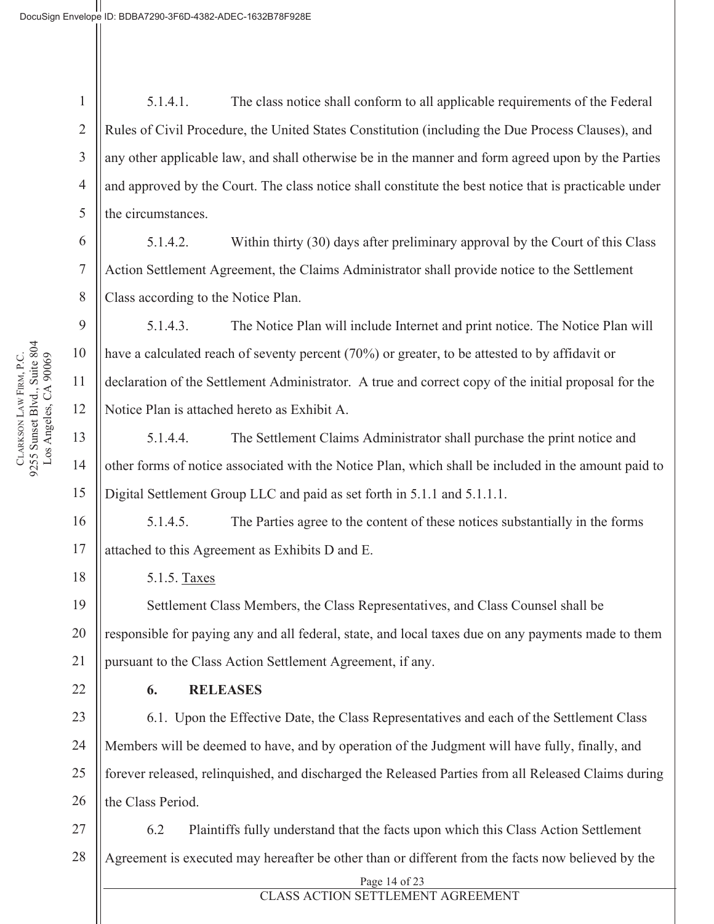1 2 3 4 5 5.1.4.1. The class notice shall conform to all applicable requirements of the Federal Rules of Civil Procedure, the United States Constitution (including the Due Process Clauses), and any other applicable law, and shall otherwise be in the manner and form agreed upon by the Parties and approved by the Court. The class notice shall constitute the best notice that is practicable under the circumstances.

5.1.4.2. Within thirty (30) days after preliminary approval by the Court of this Class Action Settlement Agreement, the Claims Administrator shall provide notice to the Settlement Class according to the Notice Plan.

5.1.4.3. The Notice Plan will include Internet and print notice. The Notice Plan will have a calculated reach of seventy percent (70%) or greater, to be attested to by affidavit or declaration of the Settlement Administrator. A true and correct copy of the initial proposal for the Notice Plan is attached hereto as Exhibit A.

5.1.4.4. The Settlement Claims Administrator shall purchase the print notice and other forms of notice associated with the Notice Plan, which shall be included in the amount paid to Digital Settlement Group LLC and paid as set forth in 5.1.1 and 5.1.1.1.

5.1.4.5. The Parties agree to the content of these notices substantially in the forms attached to this Agreement as Exhibits D and E.

5.1.5. Taxes

19 20 21 Settlement Class Members, the Class Representatives, and Class Counsel shall be responsible for paying any and all federal, state, and local taxes due on any payments made to them pursuant to the Class Action Settlement Agreement, if any.

### **6. RELEASES**

23 24 25 26 6.1. Upon the Effective Date, the Class Representatives and each of the Settlement Class Members will be deemed to have, and by operation of the Judgment will have fully, finally, and forever released, relinquished, and discharged the Released Parties from all Released Claims during the Class Period.

27 28 6.2 Plaintiffs fully understand that the facts upon which this Class Action Settlement Agreement is executed may hereafter be other than or different from the facts now believed by the

#### CLASS ACTION SETTLEMENT AGREEMENT

6

7

8

9

10

11

12

13

14

15

16

17

18

22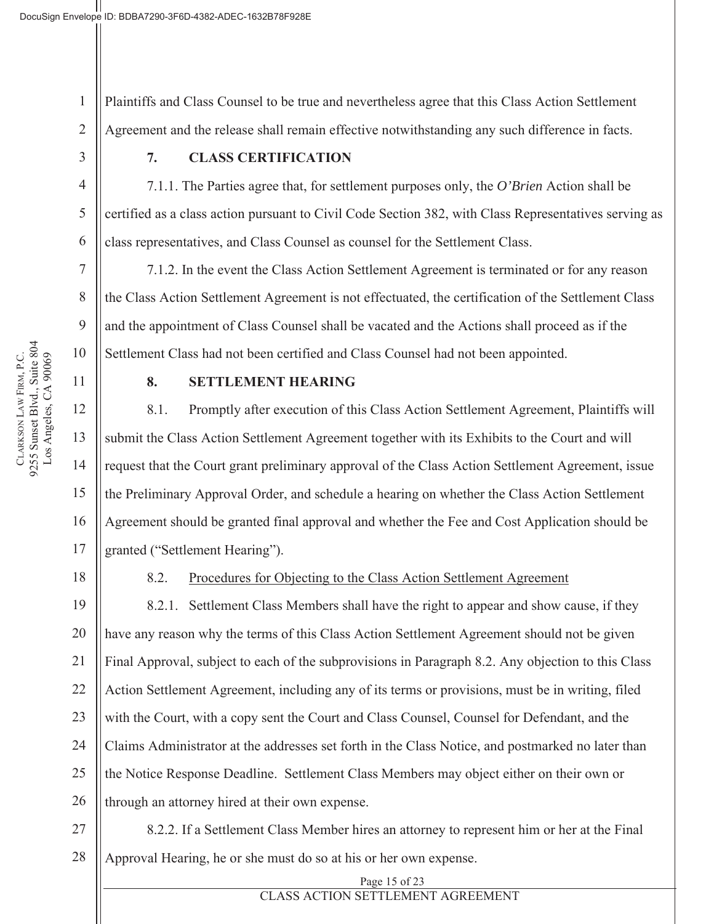1 2 Plaintiffs and Class Counsel to be true and nevertheless agree that this Class Action Settlement Agreement and the release shall remain effective notwithstanding any such difference in facts.

3

4

5

6

7

8

9

10

11

12

13

14

15

16

17

18

### **7. CLASS CERTIFICATION**

7.1.1. The Parties agree that, for settlement purposes only, the *O'Brien* Action shall be certified as a class action pursuant to Civil Code Section 382, with Class Representatives serving as class representatives, and Class Counsel as counsel for the Settlement Class.

7.1.2. In the event the Class Action Settlement Agreement is terminated or for any reason the Class Action Settlement Agreement is not effectuated, the certification of the Settlement Class and the appointment of Class Counsel shall be vacated and the Actions shall proceed as if the Settlement Class had not been certified and Class Counsel had not been appointed.

#### **8. SETTLEMENT HEARING**

8.1. Promptly after execution of this Class Action Settlement Agreement, Plaintiffs will submit the Class Action Settlement Agreement together with its Exhibits to the Court and will request that the Court grant preliminary approval of the Class Action Settlement Agreement, issue the Preliminary Approval Order, and schedule a hearing on whether the Class Action Settlement Agreement should be granted final approval and whether the Fee and Cost Application should be granted ("Settlement Hearing").

### 8.2. Procedures for Objecting to the Class Action Settlement Agreement

19 20 21 22 23 24 25 26 8.2.1. Settlement Class Members shall have the right to appear and show cause, if they have any reason why the terms of this Class Action Settlement Agreement should not be given Final Approval, subject to each of the subprovisions in Paragraph 8.2. Any objection to this Class Action Settlement Agreement, including any of its terms or provisions, must be in writing, filed with the Court, with a copy sent the Court and Class Counsel, Counsel for Defendant, and the Claims Administrator at the addresses set forth in the Class Notice, and postmarked no later than the Notice Response Deadline. Settlement Class Members may object either on their own or through an attorney hired at their own expense.

27 28 8.2.2. If a Settlement Class Member hires an attorney to represent him or her at the Final Approval Hearing, he or she must do so at his or her own expense.

> Page 15 of 23 CLASS ACTION SETTLEMENT AGREEMENT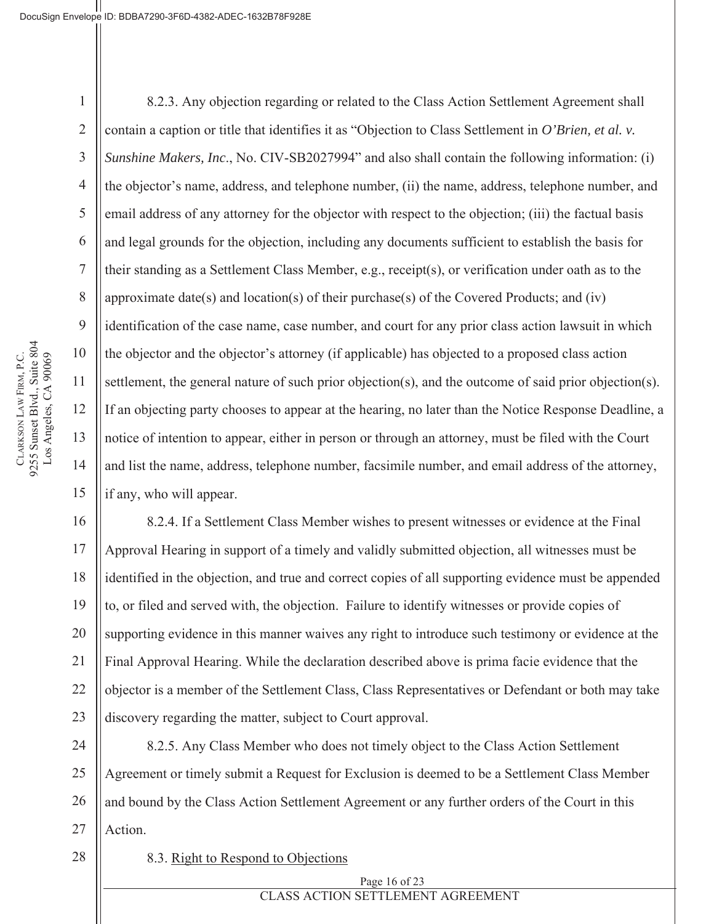2

3

4

5

6

7

8

9

10

11

12

13

14

15

17

28

8.2.3. Any objection regarding or related to the Class Action Settlement Agreement shall contain a caption or title that identifies it as "Objection to Class Settlement in *O'Brien, et al. v. Sunshine Makers, Inc*., No. CIV-SB2027994" and also shall contain the following information: (i) the objector's name, address, and telephone number, (ii) the name, address, telephone number, and email address of any attorney for the objector with respect to the objection; (iii) the factual basis and legal grounds for the objection, including any documents sufficient to establish the basis for their standing as a Settlement Class Member, e.g., receipt(s), or verification under oath as to the approximate date(s) and location(s) of their purchase(s) of the Covered Products; and (iv) identification of the case name, case number, and court for any prior class action lawsuit in which the objector and the objector's attorney (if applicable) has objected to a proposed class action settlement, the general nature of such prior objection(s), and the outcome of said prior objection(s). If an objecting party chooses to appear at the hearing, no later than the Notice Response Deadline, a notice of intention to appear, either in person or through an attorney, must be filed with the Court and list the name, address, telephone number, facsimile number, and email address of the attorney, if any, who will appear.

16 18 19 20 21 22 23 8.2.4. If a Settlement Class Member wishes to present witnesses or evidence at the Final Approval Hearing in support of a timely and validly submitted objection, all witnesses must be identified in the objection, and true and correct copies of all supporting evidence must be appended to, or filed and served with, the objection. Failure to identify witnesses or provide copies of supporting evidence in this manner waives any right to introduce such testimony or evidence at the Final Approval Hearing. While the declaration described above is prima facie evidence that the objector is a member of the Settlement Class, Class Representatives or Defendant or both may take discovery regarding the matter, subject to Court approval.

24 25 26 27 8.2.5. Any Class Member who does not timely object to the Class Action Settlement Agreement or timely submit a Request for Exclusion is deemed to be a Settlement Class Member and bound by the Class Action Settlement Agreement or any further orders of the Court in this Action.

8.3. Right to Respond to Objections

Page 16 of 23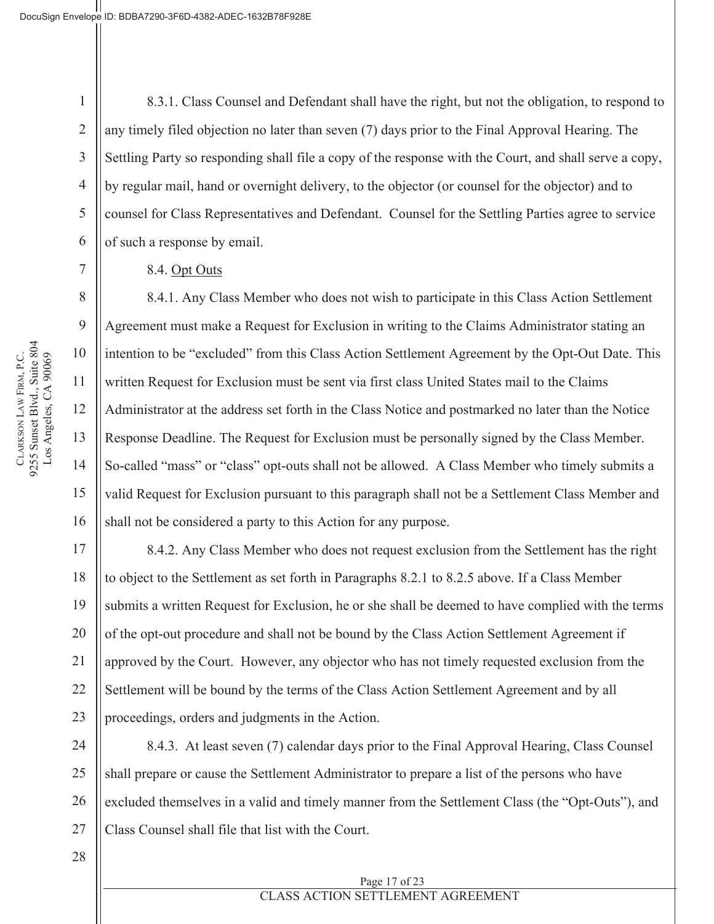2

3

4

5

6

7

8

9

10

11

12

13

14

15

16

17

18

19

20

21

22

23

8.3.1. Class Counsel and Defendant shall have the right, but not the obligation, to respond to any timely filed objection no later than seven (7) days prior to the Final Approval Hearing. The Settling Party so responding shall file a copy of the response with the Court, and shall serve a copy, by regular mail, hand or overnight delivery, to the objector (or counsel for the objector) and to counsel for Class Representatives and Defendant. Counsel for the Settling Parties agree to service of such a response by email.

#### 8.4. Opt Outs

8.4.1. Any Class Member who does not wish to participate in this Class Action Settlement Agreement must make a Request for Exclusion in writing to the Claims Administrator stating an intention to be "excluded" from this Class Action Settlement Agreement by the Opt-Out Date. This written Request for Exclusion must be sent via first class United States mail to the Claims Administrator at the address set forth in the Class Notice and postmarked no later than the Notice Response Deadline. The Request for Exclusion must be personally signed by the Class Member. So-called "mass" or "class" opt-outs shall not be allowed. A Class Member who timely submits a valid Request for Exclusion pursuant to this paragraph shall not be a Settlement Class Member and shall not be considered a party to this Action for any purpose.

8.4.2. Any Class Member who does not request exclusion from the Settlement has the right to object to the Settlement as set forth in Paragraphs 8.2.1 to 8.2.5 above. If a Class Member submits a written Request for Exclusion, he or she shall be deemed to have complied with the terms of the opt-out procedure and shall not be bound by the Class Action Settlement Agreement if approved by the Court. However, any objector who has not timely requested exclusion from the Settlement will be bound by the terms of the Class Action Settlement Agreement and by all proceedings, orders and judgments in the Action.

24 25 26 27 8.4.3. At least seven (7) calendar days prior to the Final Approval Hearing, Class Counsel shall prepare or cause the Settlement Administrator to prepare a list of the persons who have excluded themselves in a valid and timely manner from the Settlement Class (the "Opt-Outs"), and Class Counsel shall file that list with the Court.

28

Page 17 of 23 CLASS ACTION SETTLEMENT AGREEMENT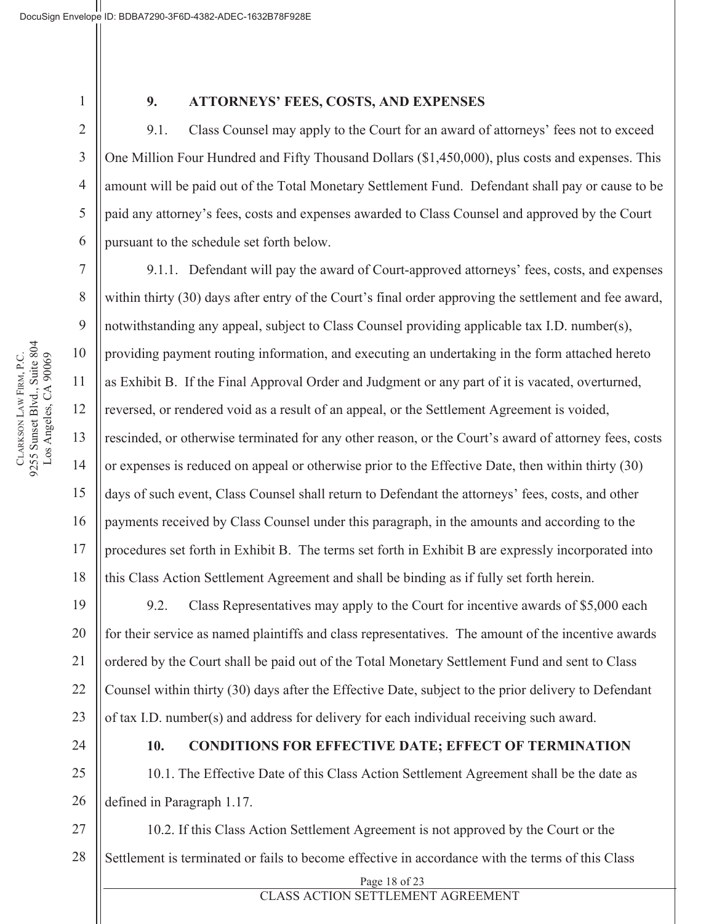2

3

4

5

6

7

8

9

10

11

12

13

14

15

16

17

18

#### **9. ATTORNEYS' FEES, COSTS, AND EXPENSES**

9.1. Class Counsel may apply to the Court for an award of attorneys' fees not to exceed One Million Four Hundred and Fifty Thousand Dollars (\$1,450,000), plus costs and expenses. This amount will be paid out of the Total Monetary Settlement Fund. Defendant shall pay or cause to be paid any attorney's fees, costs and expenses awarded to Class Counsel and approved by the Court pursuant to the schedule set forth below.

9.1.1. Defendant will pay the award of Court-approved attorneys' fees, costs, and expenses within thirty (30) days after entry of the Court's final order approving the settlement and fee award, notwithstanding any appeal, subject to Class Counsel providing applicable tax I.D. number(s), providing payment routing information, and executing an undertaking in the form attached hereto as Exhibit B. If the Final Approval Order and Judgment or any part of it is vacated, overturned, reversed, or rendered void as a result of an appeal, or the Settlement Agreement is voided, rescinded, or otherwise terminated for any other reason, or the Court's award of attorney fees, costs or expenses is reduced on appeal or otherwise prior to the Effective Date, then within thirty (30) days of such event, Class Counsel shall return to Defendant the attorneys' fees, costs, and other payments received by Class Counsel under this paragraph, in the amounts and according to the procedures set forth in Exhibit B. The terms set forth in Exhibit B are expressly incorporated into this Class Action Settlement Agreement and shall be binding as if fully set forth herein.

19 20 21 22 23 9.2. Class Representatives may apply to the Court for incentive awards of \$5,000 each for their service as named plaintiffs and class representatives. The amount of the incentive awards ordered by the Court shall be paid out of the Total Monetary Settlement Fund and sent to Class Counsel within thirty (30) days after the Effective Date, subject to the prior delivery to Defendant of tax I.D. number(s) and address for delivery for each individual receiving such award.

24

#### **10. CONDITIONS FOR EFFECTIVE DATE; EFFECT OF TERMINATION**

25 26 10.1. The Effective Date of this Class Action Settlement Agreement shall be the date as defined in Paragraph 1.17.

27 28 10.2. If this Class Action Settlement Agreement is not approved by the Court or the Settlement is terminated or fails to become effective in accordance with the terms of this Class

Page 18 of 23

CLASS ACTION SETTLEMENT AGREEMENT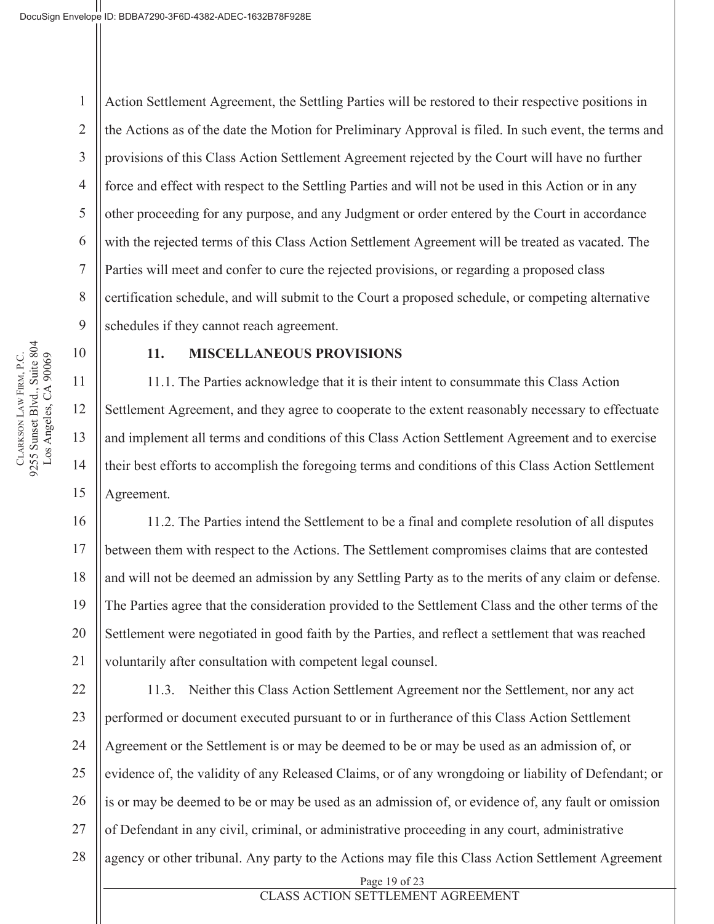4 6 7 Action Settlement Agreement, the Settling Parties will be restored to their respective positions in the Actions as of the date the Motion for Preliminary Approval is filed. In such event, the terms and provisions of this Class Action Settlement Agreement rejected by the Court will have no further force and effect with respect to the Settling Parties and will not be used in this Action or in any other proceeding for any purpose, and any Judgment or order entered by the Court in accordance with the rejected terms of this Class Action Settlement Agreement will be treated as vacated. The Parties will meet and confer to cure the rejected provisions, or regarding a proposed class certification schedule, and will submit to the Court a proposed schedule, or competing alternative schedules if they cannot reach agreement.

10

1

2

3

5

8

9

11

12

13

14

15

16

17

18

19

20

21

#### **11. MISCELLANEOUS PROVISIONS**

11.1. The Parties acknowledge that it is their intent to consummate this Class Action Settlement Agreement, and they agree to cooperate to the extent reasonably necessary to effectuate and implement all terms and conditions of this Class Action Settlement Agreement and to exercise their best efforts to accomplish the foregoing terms and conditions of this Class Action Settlement Agreement.

11.2. The Parties intend the Settlement to be a final and complete resolution of all disputes between them with respect to the Actions. The Settlement compromises claims that are contested and will not be deemed an admission by any Settling Party as to the merits of any claim or defense. The Parties agree that the consideration provided to the Settlement Class and the other terms of the Settlement were negotiated in good faith by the Parties, and reflect a settlement that was reached voluntarily after consultation with competent legal counsel.

22 23 24 25 26 27 28 11.3. Neither this Class Action Settlement Agreement nor the Settlement, nor any act performed or document executed pursuant to or in furtherance of this Class Action Settlement Agreement or the Settlement is or may be deemed to be or may be used as an admission of, or evidence of, the validity of any Released Claims, or of any wrongdoing or liability of Defendant; or is or may be deemed to be or may be used as an admission of, or evidence of, any fault or omission of Defendant in any civil, criminal, or administrative proceeding in any court, administrative agency or other tribunal. Any party to the Actions may file this Class Action Settlement Agreement

# CLASS ACTION SETTLEMENT AGREEMENT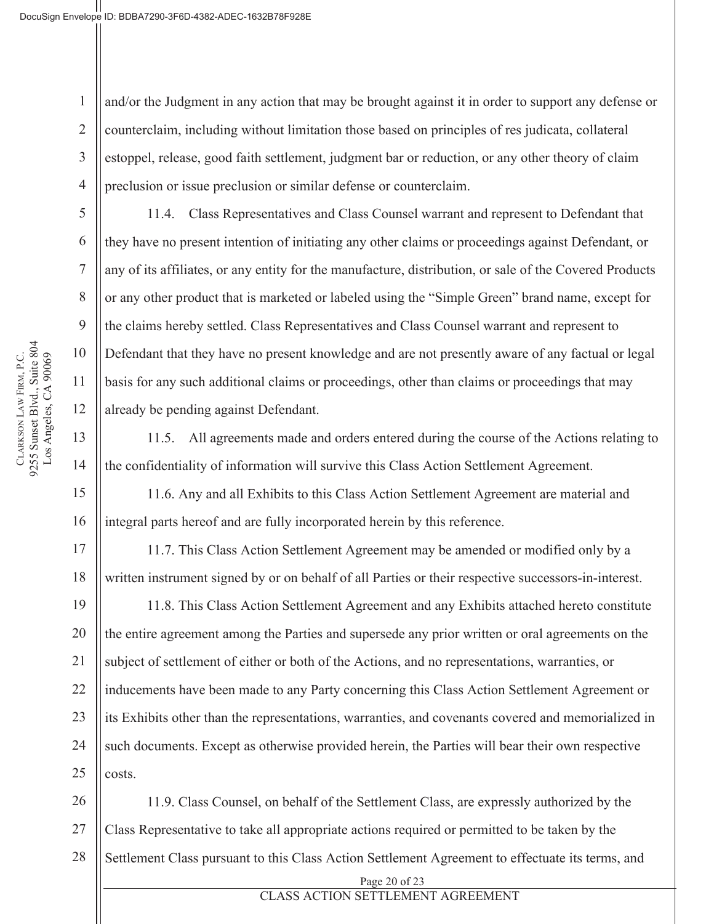2

3

4

5

6

7

8

9

10

11

12

13

14

15

16

17

18

19

20

21

22

23

24

25

and/or the Judgment in any action that may be brought against it in order to support any defense or counterclaim, including without limitation those based on principles of res judicata, collateral estoppel, release, good faith settlement, judgment bar or reduction, or any other theory of claim preclusion or issue preclusion or similar defense or counterclaim.

11.4. Class Representatives and Class Counsel warrant and represent to Defendant that they have no present intention of initiating any other claims or proceedings against Defendant, or any of its affiliates, or any entity for the manufacture, distribution, or sale of the Covered Products or any other product that is marketed or labeled using the "Simple Green" brand name, except for the claims hereby settled. Class Representatives and Class Counsel warrant and represent to Defendant that they have no present knowledge and are not presently aware of any factual or legal basis for any such additional claims or proceedings, other than claims or proceedings that may already be pending against Defendant.

11.5. All agreements made and orders entered during the course of the Actions relating to the confidentiality of information will survive this Class Action Settlement Agreement.

11.6. Any and all Exhibits to this Class Action Settlement Agreement are material and integral parts hereof and are fully incorporated herein by this reference.

11.7. This Class Action Settlement Agreement may be amended or modified only by a written instrument signed by or on behalf of all Parties or their respective successors-in-interest.

11.8. This Class Action Settlement Agreement and any Exhibits attached hereto constitute the entire agreement among the Parties and supersede any prior written or oral agreements on the subject of settlement of either or both of the Actions, and no representations, warranties, or inducements have been made to any Party concerning this Class Action Settlement Agreement or its Exhibits other than the representations, warranties, and covenants covered and memorialized in such documents. Except as otherwise provided herein, the Parties will bear their own respective costs.

26 27 28 Page 20 of 23 11.9. Class Counsel, on behalf of the Settlement Class, are expressly authorized by the Class Representative to take all appropriate actions required or permitted to be taken by the Settlement Class pursuant to this Class Action Settlement Agreement to effectuate its terms, and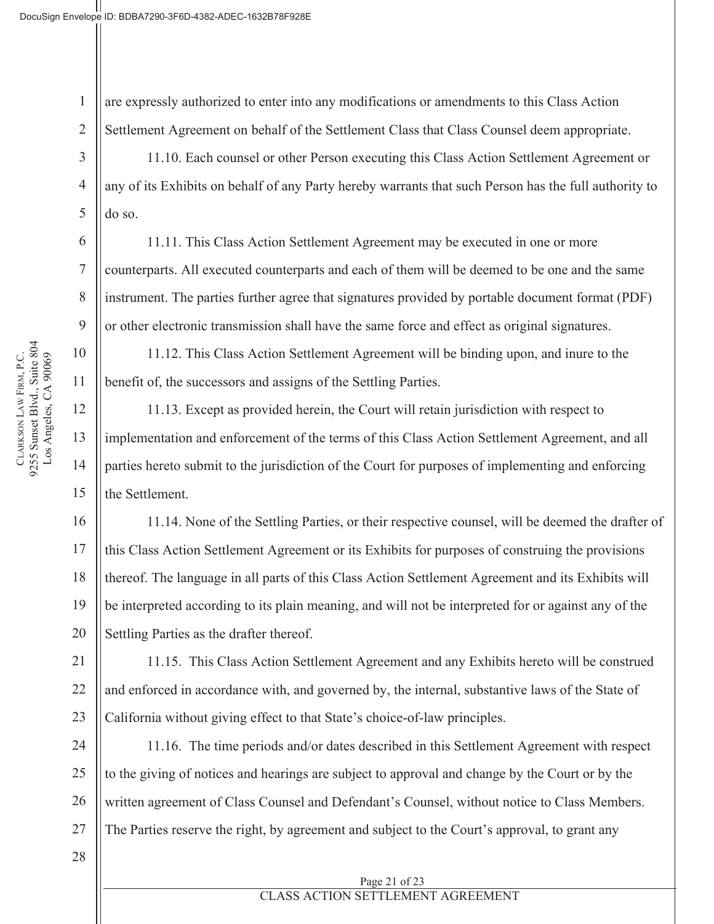1 2 are expressly authorized to enter into any modifications or amendments to this Class Action Settlement Agreement on behalf of the Settlement Class that Class Counsel deem appropriate.

11.10. Each counsel or other Person executing this Class Action Settlement Agreement or any of its Exhibits on behalf of any Party hereby warrants that such Person has the full authority to do so.

11.11. This Class Action Settlement Agreement may be executed in one or more counterparts. All executed counterparts and each of them will be deemed to be one and the same instrument. The parties further agree that signatures provided by portable document format (PDF) or other electronic transmission shall have the same force and effect as original signatures.

11.12. This Class Action Settlement Agreement will be binding upon, and inure to the benefit of, the successors and assigns of the Settling Parties.

11.13. Except as provided herein, the Court will retain jurisdiction with respect to implementation and enforcement of the terms of this Class Action Settlement Agreement, and all parties hereto submit to the jurisdiction of the Court for purposes of implementing and enforcing the Settlement.

11.14. None of the Settling Parties, or their respective counsel, will be deemed the drafter of this Class Action Settlement Agreement or its Exhibits for purposes of construing the provisions thereof. The language in all parts of this Class Action Settlement Agreement and its Exhibits will be interpreted according to its plain meaning, and will not be interpreted for or against any of the Settling Parties as the drafter thereof.

21 22 23 11.15. This Class Action Settlement Agreement and any Exhibits hereto will be construed and enforced in accordance with, and governed by, the internal, substantive laws of the State of California without giving effect to that State's choice-of-law principles.

24 25 26 27 11.16. The time periods and/or dates described in this Settlement Agreement with respect to the giving of notices and hearings are subject to approval and change by the Court or by the written agreement of Class Counsel and Defendant's Counsel, without notice to Class Members. The Parties reserve the right, by agreement and subject to the Court's approval, to grant any

28

# CLASS ACTION SETTLEMENT AGREEMENT

CLARKSON LAW FIRM, P.C.<br>9255 Sunset Blvd., Suite 804 9255 Sunset Blvd., Suite 804 Los Angeles, CA 90069 LAW FIRM, P.C. Los Angeles, CA 90069 **CLARKSON** 

3

4

5

6

7

8

9

10

11

12

13

14

15

16

17

18

19

20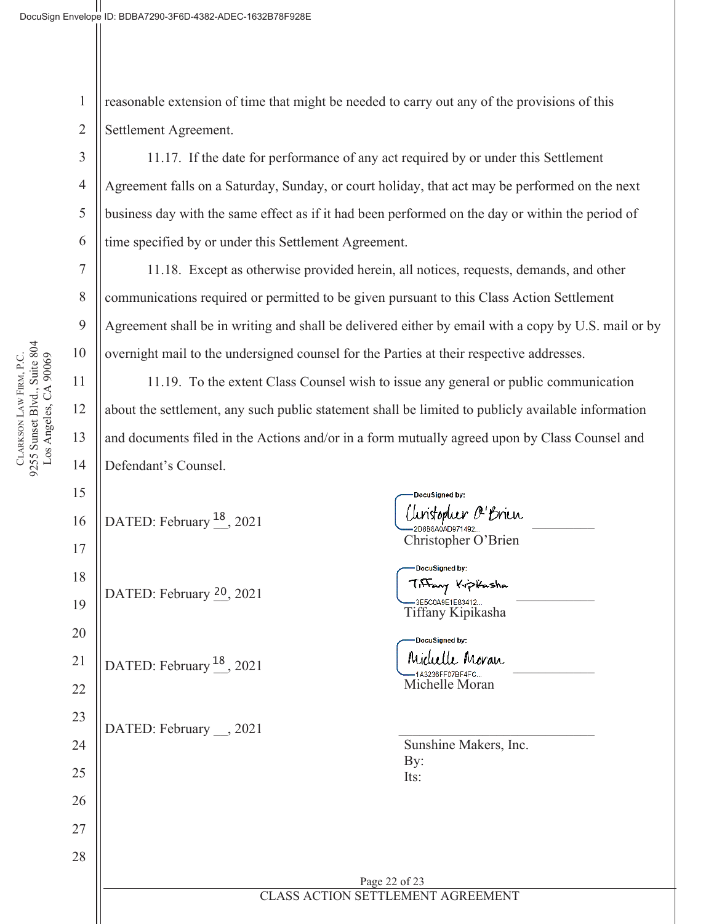1 2 reasonable extension of time that might be needed to carry out any of the provisions of this Settlement Agreement.

11.17. If the date for performance of any act required by or under this Settlement Agreement falls on a Saturday, Sunday, or court holiday, that act may be performed on the next business day with the same effect as if it had been performed on the day or within the period of time specified by or under this Settlement Agreement.

11.18. Except as otherwise provided herein, all notices, requests, demands, and other communications required or permitted to be given pursuant to this Class Action Settlement Agreement shall be in writing and shall be delivered either by email with a copy by U.S. mail or by overnight mail to the undersigned counsel for the Parties at their respective addresses.

11.19. To the extent Class Counsel wish to issue any general or public communication about the settlement, any such public statement shall be limited to publicly available information and documents filed in the Actions and/or in a form mutually agreed upon by Class Counsel and Defendant's Counsel.

16 17 18 19 20 21 22 23 24 25 26 27 28 CLASS ACTION SETTLEMENT AGREEMENT DATED: February  $\frac{20}{2021}$  are the set of the set of the set of the set of the set of the set of the set of the set of the set of the set of the set of the set of the set of the set of the set of the set of the set of DATED: February  $^{18}$ , 2021  $\mu$  Michelli Moran DATED: February  $\_\_$ , 2021

DocuSianed by: DATED: February  $^{18}$ , 2021  $\bigcup_{\text{2D224} \text{ 2D24} \atop \text{2D224} \text{ 2D24} \atop \text{2D224} \text{ 2D24} \bigcup_{\text{2D224} \text{ 2D24} \text{ 2D24} \text{ 2D24} \bigcup_{\text{2D24}} \text{2D24} \bigcup_{\text{2D24}} \text{2D24} \bigcup_{\text{2D24}} \text{2D24} \bigcup_{\text{2D24}} \text{2D24} \bigcup_{\text{$ Christopher O'Brien

DocuSianed by: —зе5содов 1683412...<br>Tiffany Kipikasha

DocuSigned by: —1A3236FF07BF4FC...<br>Michelle Moran

Sunshine Makers, Inc. By: Its:

Page 22 of 23

3

4

5

6

7

8

9

10

11

12

13

14

15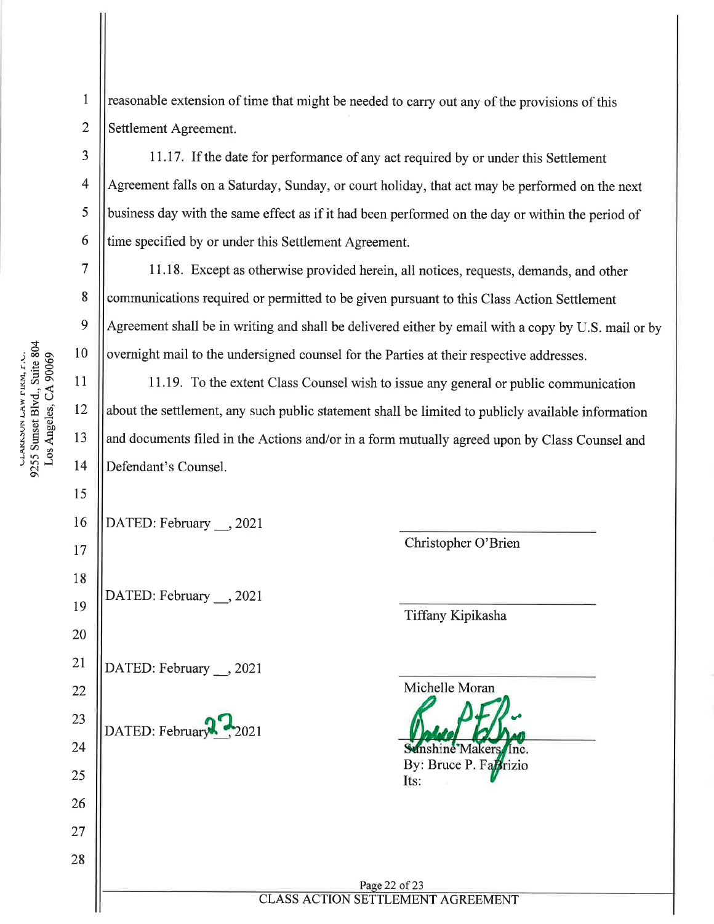CLAKSSON LAW FIKM, F.C.<br>9255 Sunset Blvd., Suite 804 10 Los Angeles, CA 90069 11 12 13

3

 $\overline{4}$ 

5

6

 $\overline{7}$ 

8

 $\boldsymbol{Q}$ 

14

15

16

17

18

19

20

21

22

23

24

25

26

27

28

 $\mathbf{1}$ reasonable extension of time that might be needed to carry out any of the provisions of this  $\overline{2}$ Settlement Agreement.

11.17. If the date for performance of any act required by or under this Settlement Agreement falls on a Saturday, Sunday, or court holiday, that act may be performed on the next business day with the same effect as if it had been performed on the day or within the period of time specified by or under this Settlement Agreement.

11.18. Except as otherwise provided herein, all notices, requests, demands, and other communications required or permitted to be given pursuant to this Class Action Settlement Agreement shall be in writing and shall be delivered either by email with a copy by U.S. mail or by overnight mail to the undersigned counsel for the Parties at their respective addresses.

11.19. To the extent Class Counsel wish to issue any general or public communication about the settlement, any such public statement shall be limited to publicly available information and documents filed in the Actions and/or in a form mutually agreed upon by Class Counsel and Defendant's Counsel.

DATED: February \_\_, 2021

DATED: February , 2021

DATED: February , 2021

DATED: February

Christopher O'Brien

Tiffany Kipikasha

Michelle Moran **Makers** By: Bruce P. FaBrizio

Page 22 of 23 **CLASS ACTION SETTLEMENT AGREEMENT** 

Its: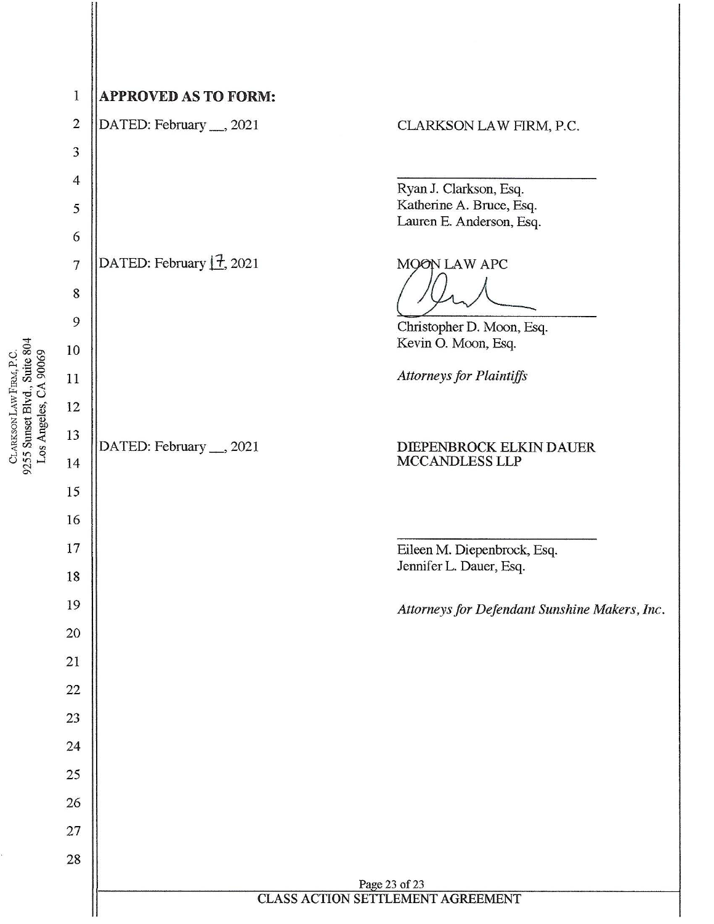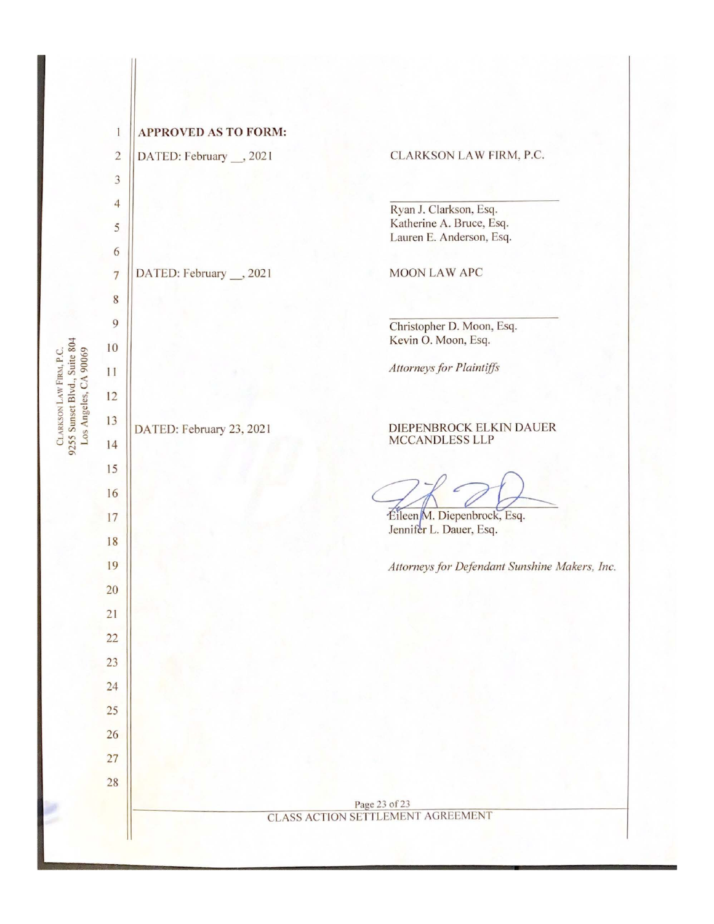|                                                                                  | $\mathbf{1}$   | <b>APPROVED AS TO FORM:</b>        |                                                    |
|----------------------------------------------------------------------------------|----------------|------------------------------------|----------------------------------------------------|
|                                                                                  | $\sqrt{2}$     | DATED: February __, 2021           | CLARKSON LAW FIRM, P.C.                            |
|                                                                                  | $\sqrt{3}$     |                                    |                                                    |
|                                                                                  | $\overline{4}$ |                                    | Ryan J. Clarkson, Esq.                             |
|                                                                                  | 5              |                                    | Katherine A. Bruce, Esq.                           |
|                                                                                  | 6              |                                    | Lauren E. Anderson, Esq.                           |
|                                                                                  | $\overline{7}$ | DATED: February $\boxed{7}$ , 2021 | MOON LAW APC                                       |
|                                                                                  | $\,$ 8 $\,$    |                                    |                                                    |
|                                                                                  | $\mathcal{Q}$  |                                    | Christopher D. Moon, Esq.                          |
|                                                                                  | 10             |                                    | Kevin O. Moon, Esq.                                |
| 9255 Sunset Blvd., Suite 804<br>CLARKSON LAW FIRM, P.C.<br>Los Angeles, CA 90069 | 11             |                                    | <b>Attorneys for Plaintiffs</b>                    |
|                                                                                  | 12             |                                    |                                                    |
|                                                                                  | 13             | DATED: February __, 2021           | DIEPENBROCK ELKIN DAUER                            |
|                                                                                  | 14             |                                    | MCCANDLESS LLP                                     |
|                                                                                  | 15             |                                    |                                                    |
|                                                                                  | 16             |                                    |                                                    |
|                                                                                  | 17             |                                    | Eileen M. Diepenbrock, Esq.                        |
|                                                                                  | 18             |                                    | Jennifer L. Dauer, Esq.                            |
|                                                                                  | 19             |                                    | Attorneys for Defendant Sunshine Makers, Inc.      |
|                                                                                  | $20\,$         |                                    |                                                    |
|                                                                                  | 21             |                                    |                                                    |
|                                                                                  | 22             |                                    |                                                    |
|                                                                                  | 23             |                                    |                                                    |
|                                                                                  | 24             |                                    |                                                    |
|                                                                                  | 25             |                                    |                                                    |
|                                                                                  | 26             |                                    |                                                    |
|                                                                                  | 27             |                                    |                                                    |
|                                                                                  | 28             |                                    |                                                    |
|                                                                                  |                |                                    | Page 23 of 23<br>CLASS ACTION SETTLEMENT AGREEMENT |
|                                                                                  |                |                                    |                                                    |

 $\ddot{\phantom{0}}$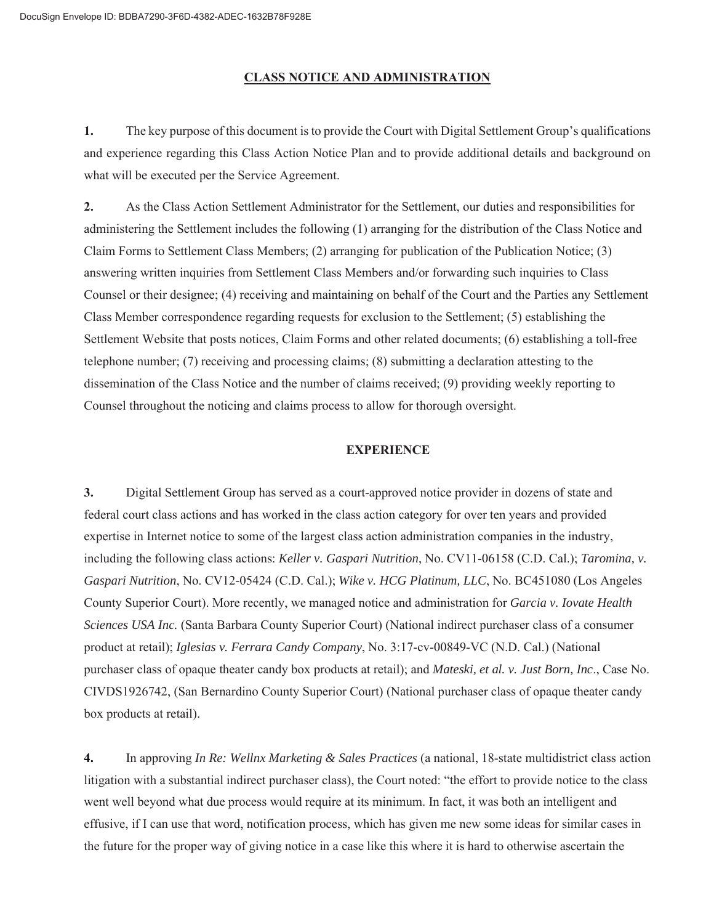|                                                                                  | 1              | <b>APPROVED AS TO FORM:</b> |                                                           |
|----------------------------------------------------------------------------------|----------------|-----------------------------|-----------------------------------------------------------|
|                                                                                  | $\overline{c}$ | DATED: February __, 2021    | CLARKSON LAW FIRM, P.C.                                   |
|                                                                                  | $\mathfrak{Z}$ |                             |                                                           |
|                                                                                  | $\overline{4}$ |                             | Ryan J. Clarkson, Esq.                                    |
|                                                                                  | 5              |                             | Katherine A. Bruce, Esq.<br>Lauren E. Anderson, Esq.      |
|                                                                                  | 6              |                             |                                                           |
|                                                                                  | $\overline{7}$ | DATED: February __, 2021    | <b>MOON LAW APC</b>                                       |
|                                                                                  | $8\phantom{1}$ |                             |                                                           |
|                                                                                  | 9              |                             | Christopher D. Moon, Esq.                                 |
|                                                                                  | 10             |                             | Kevin O. Moon, Esq.                                       |
|                                                                                  | 11             |                             | Attorneys for Plaintiffs                                  |
|                                                                                  | 12             |                             |                                                           |
| 9255 Sunset Blvd., Suite 804<br>Los Angeles, CA 90069<br>CLARKSON LAW FIRM, P.C. | 13             | DATED: February 23, 2021    | DIEPENBROCK ELKIN DAUER<br>MCCANDLESS LLP                 |
|                                                                                  | 14             |                             |                                                           |
|                                                                                  | 15             |                             |                                                           |
|                                                                                  | 16             |                             | Éileen M. Diepenbrock, Esq.                               |
|                                                                                  | 17<br>18       |                             | Jennifer L. Dauer, Esq.                                   |
|                                                                                  | 19             |                             | Attorneys for Defendant Sunshine Makers, Inc.             |
|                                                                                  | 20             |                             |                                                           |
|                                                                                  | 21             |                             |                                                           |
|                                                                                  | 22             |                             |                                                           |
|                                                                                  | 23             |                             |                                                           |
|                                                                                  | 24             |                             |                                                           |
|                                                                                  | 25             |                             |                                                           |
|                                                                                  | 26             |                             |                                                           |
|                                                                                  | 27             |                             |                                                           |
|                                                                                  | 28             |                             |                                                           |
|                                                                                  |                |                             | Page 23 of 23<br><b>CLASS ACTION SETTLEMENT AGREEMENT</b> |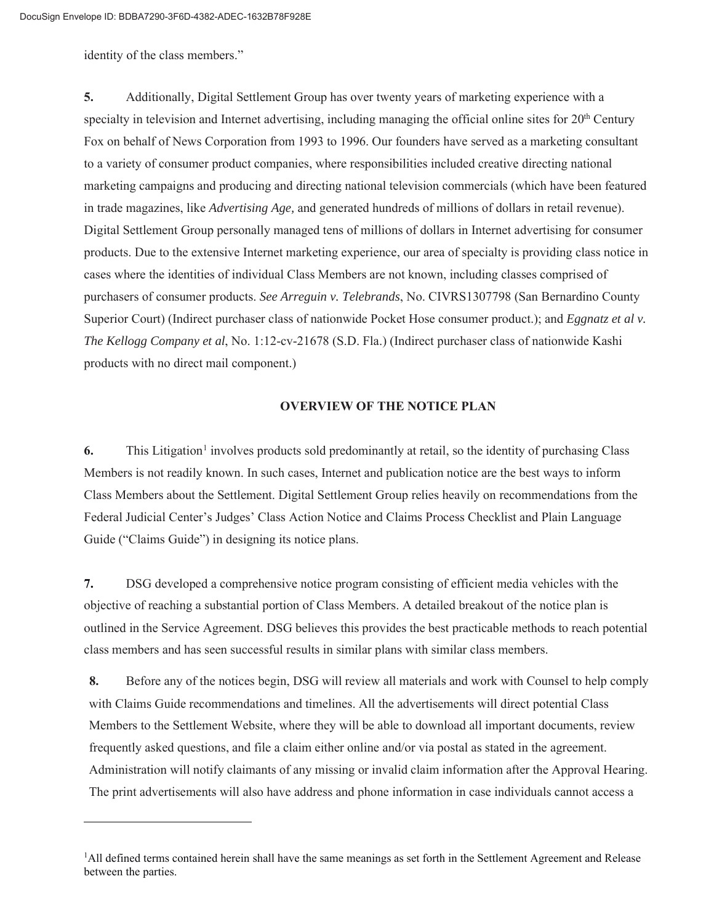#### **CLASS NOTICE AND ADMINISTRATION**

**1.** The key purpose of this document is to provide the Court with Digital Settlement Group's qualifications and experience regarding this Class Action Notice Plan and to provide additional details and background on what will be executed per the Service Agreement.

**2.** As the Class Action Settlement Administrator for the Settlement, our duties and responsibilities for administering the Settlement includes the following (1) arranging for the distribution of the Class Notice and Claim Forms to Settlement Class Members; (2) arranging for publication of the Publication Notice; (3) answering written inquiries from Settlement Class Members and/or forwarding such inquiries to Class Counsel or their designee; (4) receiving and maintaining on behalf of the Court and the Parties any Settlement Class Member correspondence regarding requests for exclusion to the Settlement; (5) establishing the Settlement Website that posts notices, Claim Forms and other related documents; (6) establishing a toll-free telephone number; (7) receiving and processing claims; (8) submitting a declaration attesting to the dissemination of the Class Notice and the number of claims received; (9) providing weekly reporting to Counsel throughout the noticing and claims process to allow for thorough oversight.

#### **EXPERIENCE**

**3.** Digital Settlement Group has served as a court-approved notice provider in dozens of state and federal court class actions and has worked in the class action category for over ten years and provided expertise in Internet notice to some of the largest class action administration companies in the industry, including the following class actions: *Keller v. Gaspari Nutrition*, No. CV11-06158 (C.D. Cal.); *Taromina, v. Gaspari Nutrition*, No. CV12-05424 (C.D. Cal.); *Wike v. HCG Platinum, LLC*, No. BC451080 (Los Angeles County Superior Court). More recently, we managed notice and administration for *Garcia v. Iovate Health Sciences USA Inc.* (Santa Barbara County Superior Court) (National indirect purchaser class of a consumer product at retail); *Iglesias v. Ferrara Candy Company*, No. 3:17-cv-00849-VC (N.D. Cal.) (National purchaser class of opaque theater candy box products at retail); and *Mateski, et al. v. Just Born, Inc*., Case No. CIVDS1926742, (San Bernardino County Superior Court) (National purchaser class of opaque theater candy box products at retail).

**4.** In approving *In Re: Wellnx Marketing & Sales Practices* (a national, 18-state multidistrict class action litigation with a substantial indirect purchaser class), the Court noted: "the effort to provide notice to the class went well beyond what due process would require at its minimum. In fact, it was both an intelligent and effusive, if I can use that word, notification process, which has given me new some ideas for similar cases in the future for the proper way of giving notice in a case like this where it is hard to otherwise ascertain the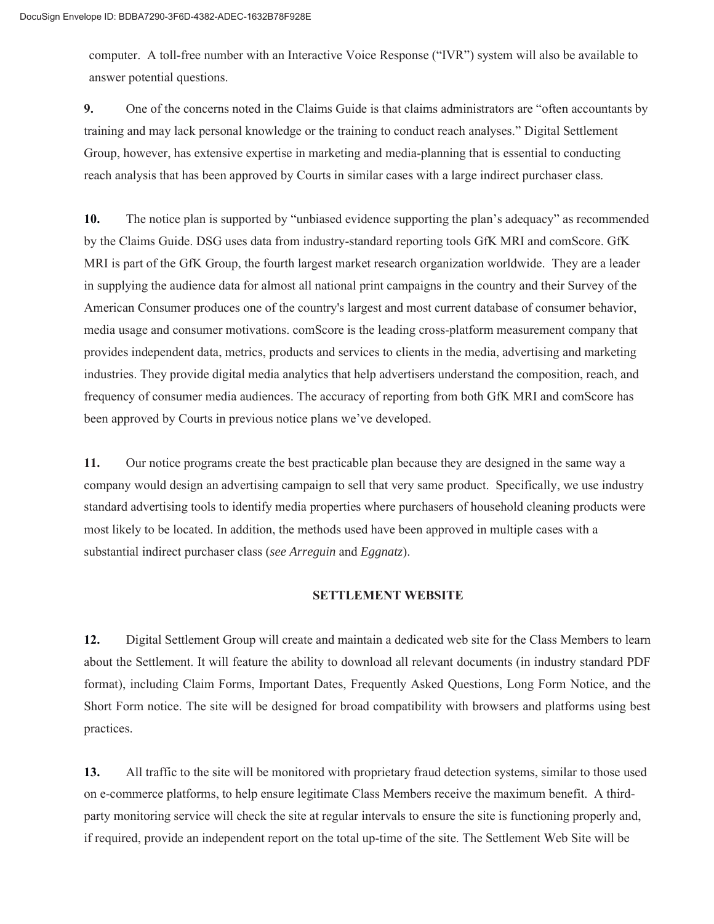identity of the class members."

**5.** Additionally, Digital Settlement Group has over twenty years of marketing experience with a specialty in television and Internet advertising, including managing the official online sites for  $20<sup>th</sup>$  Century Fox on behalf of News Corporation from 1993 to 1996. Our founders have served as a marketing consultant to a variety of consumer product companies, where responsibilities included creative directing national marketing campaigns and producing and directing national television commercials (which have been featured in trade magazines, like *Advertising Age,* and generated hundreds of millions of dollars in retail revenue). Digital Settlement Group personally managed tens of millions of dollars in Internet advertising for consumer products. Due to the extensive Internet marketing experience, our area of specialty is providing class notice in cases where the identities of individual Class Members are not known, including classes comprised of purchasers of consumer products. *See Arreguin v. Telebrands*, No. CIVRS1307798 (San Bernardino County Superior Court) (Indirect purchaser class of nationwide Pocket Hose consumer product.); and *Eggnatz et al v. The Kellogg Company et al*, No. 1:12-cv-21678 (S.D. Fla.) (Indirect purchaser class of nationwide Kashi products with no direct mail component.)

#### **OVERVIEW OF THE NOTICE PLAN**

**6.** This Litigation<sup>1</sup> involves products sold predominantly at retail, so the identity of purchasing Class Members is not readily known. In such cases, Internet and publication notice are the best ways to inform Class Members about the Settlement. Digital Settlement Group relies heavily on recommendations from the Federal Judicial Center's Judges' Class Action Notice and Claims Process Checklist and Plain Language Guide ("Claims Guide") in designing its notice plans.

**7.** DSG developed a comprehensive notice program consisting of efficient media vehicles with the objective of reaching a substantial portion of Class Members. A detailed breakout of the notice plan is outlined in the Service Agreement. DSG believes this provides the best practicable methods to reach potential class members and has seen successful results in similar plans with similar class members.

**8.** Before any of the notices begin, DSG will review all materials and work with Counsel to help comply with Claims Guide recommendations and timelines. All the advertisements will direct potential Class Members to the Settlement Website, where they will be able to download all important documents, review frequently asked questions, and file a claim either online and/or via postal as stated in the agreement. Administration will notify claimants of any missing or invalid claim information after the Approval Hearing. The print advertisements will also have address and phone information in case individuals cannot access a

<sup>&</sup>lt;sup>1</sup>All defined terms contained herein shall have the same meanings as set forth in the Settlement Agreement and Release between the parties.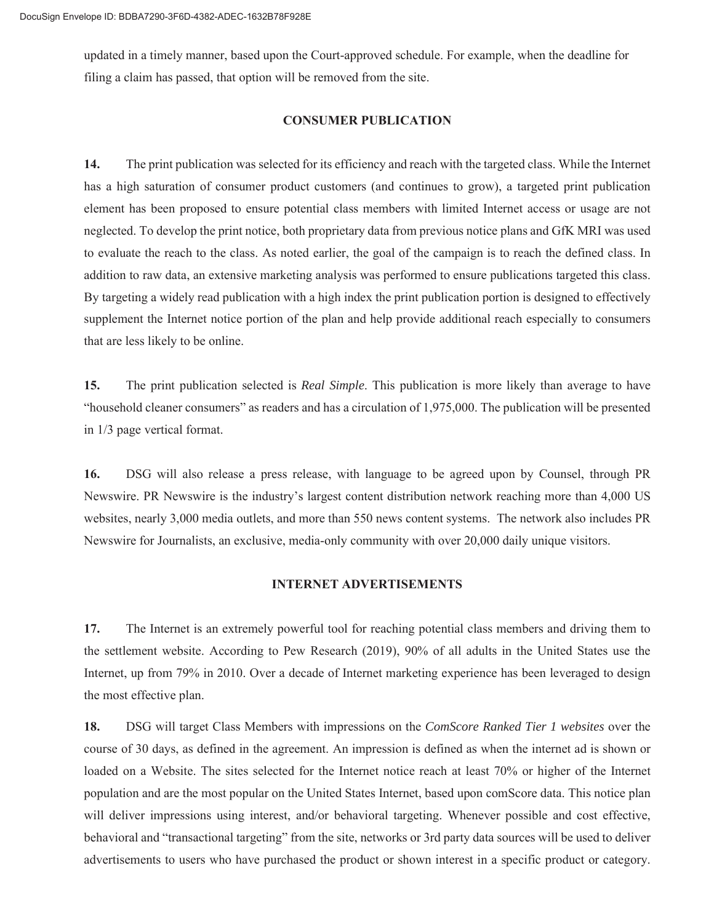computer. A toll-free number with an Interactive Voice Response ("IVR") system will also be available to answer potential questions.

**9.** One of the concerns noted in the Claims Guide is that claims administrators are "often accountants by training and may lack personal knowledge or the training to conduct reach analyses." Digital Settlement Group, however, has extensive expertise in marketing and media-planning that is essential to conducting reach analysis that has been approved by Courts in similar cases with a large indirect purchaser class.

**10.** The notice plan is supported by "unbiased evidence supporting the plan's adequacy" as recommended by the Claims Guide. DSG uses data from industry-standard reporting tools GfK MRI and comScore. GfK MRI is part of the GfK Group, the fourth largest market research organization worldwide. They are a leader in supplying the audience data for almost all national print campaigns in the country and their Survey of the American Consumer produces one of the country's largest and most current database of consumer behavior, media usage and consumer motivations. comScore is the leading cross-platform measurement company that provides independent data, metrics, products and services to clients in the media, advertising and marketing industries. They provide digital media analytics that help advertisers understand the composition, reach, and frequency of consumer media audiences. The accuracy of reporting from both GfK MRI and comScore has been approved by Courts in previous notice plans we've developed.

**11.** Our notice programs create the best practicable plan because they are designed in the same way a company would design an advertising campaign to sell that very same product. Specifically, we use industry standard advertising tools to identify media properties where purchasers of household cleaning products were most likely to be located. In addition, the methods used have been approved in multiple cases with a substantial indirect purchaser class (*see Arreguin* and *Eggnatz*).

#### **SETTLEMENT WEBSITE**

**12.** Digital Settlement Group will create and maintain a dedicated web site for the Class Members to learn about the Settlement. It will feature the ability to download all relevant documents (in industry standard PDF format), including Claim Forms, Important Dates, Frequently Asked Questions, Long Form Notice, and the Short Form notice. The site will be designed for broad compatibility with browsers and platforms using best practices.

**13.** All traffic to the site will be monitored with proprietary fraud detection systems, similar to those used on e-commerce platforms, to help ensure legitimate Class Members receive the maximum benefit. A thirdparty monitoring service will check the site at regular intervals to ensure the site is functioning properly and, if required, provide an independent report on the total up-time of the site. The Settlement Web Site will be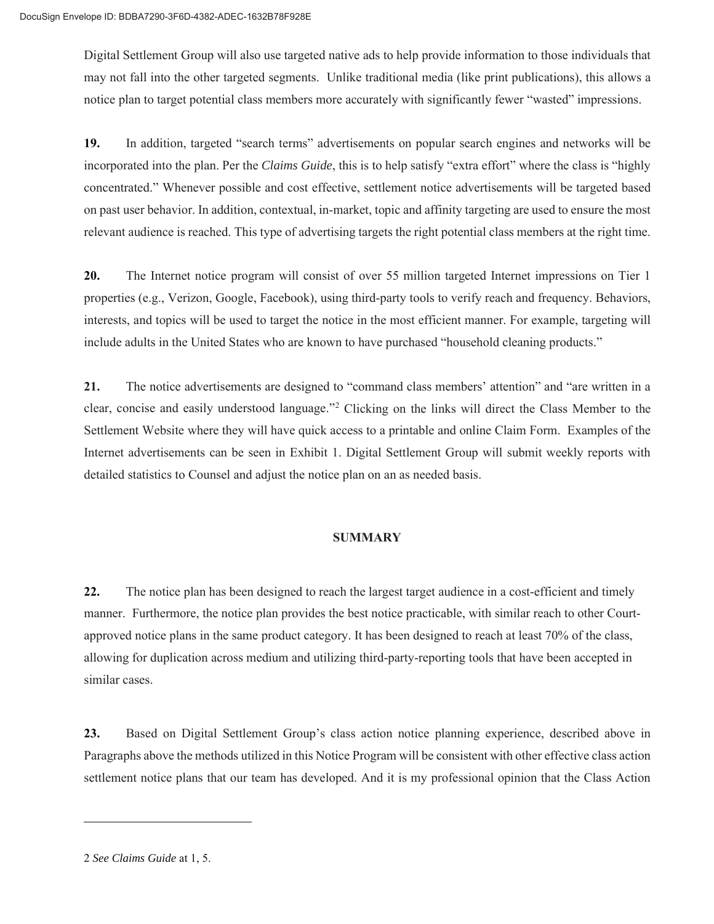updated in a timely manner, based upon the Court-approved schedule. For example, when the deadline for filing a claim has passed, that option will be removed from the site.

#### **CONSUMER PUBLICATION**

**14.** The print publication was selected for its efficiency and reach with the targeted class. While the Internet has a high saturation of consumer product customers (and continues to grow), a targeted print publication element has been proposed to ensure potential class members with limited Internet access or usage are not neglected. To develop the print notice, both proprietary data from previous notice plans and GfK MRI was used to evaluate the reach to the class. As noted earlier, the goal of the campaign is to reach the defined class. In addition to raw data, an extensive marketing analysis was performed to ensure publications targeted this class. By targeting a widely read publication with a high index the print publication portion is designed to effectively supplement the Internet notice portion of the plan and help provide additional reach especially to consumers that are less likely to be online.

**15.** The print publication selected is *Real Simple*. This publication is more likely than average to have "household cleaner consumers" as readers and has a circulation of 1,975,000. The publication will be presented in 1/3 page vertical format.

**16.** DSG will also release a press release, with language to be agreed upon by Counsel, through PR Newswire. PR Newswire is the industry's largest content distribution network reaching more than 4,000 US websites, nearly 3,000 media outlets, and more than 550 news content systems. The network also includes PR Newswire for Journalists, an exclusive, media-only community with over 20,000 daily unique visitors.

#### **INTERNET ADVERTISEMENTS**

**17.** The Internet is an extremely powerful tool for reaching potential class members and driving them to the settlement website. According to Pew Research (2019), 90% of all adults in the United States use the Internet, up from 79% in 2010. Over a decade of Internet marketing experience has been leveraged to design the most effective plan.

**18.** DSG will target Class Members with impressions on the *ComScore Ranked Tier 1 websites* over the course of 30 days, as defined in the agreement. An impression is defined as when the internet ad is shown or loaded on a Website. The sites selected for the Internet notice reach at least 70% or higher of the Internet population and are the most popular on the United States Internet, based upon comScore data. This notice plan will deliver impressions using interest, and/or behavioral targeting. Whenever possible and cost effective, behavioral and "transactional targeting" from the site, networks or 3rd party data sources will be used to deliver advertisements to users who have purchased the product or shown interest in a specific product or category.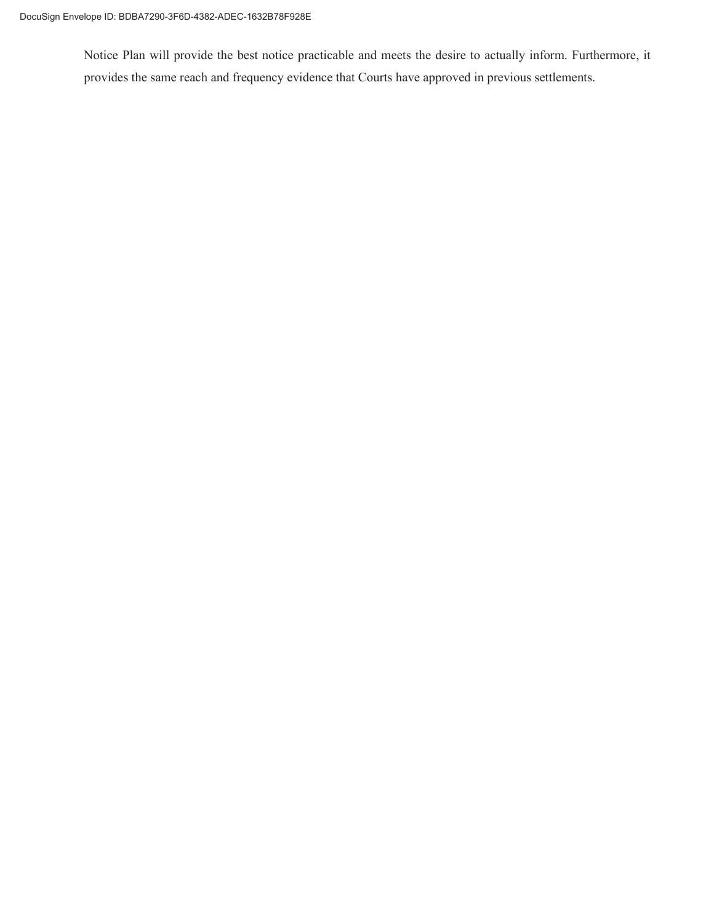Digital Settlement Group will also use targeted native ads to help provide information to those individuals that may not fall into the other targeted segments. Unlike traditional media (like print publications), this allows a notice plan to target potential class members more accurately with significantly fewer "wasted" impressions.

**19.** In addition, targeted "search terms" advertisements on popular search engines and networks will be incorporated into the plan. Per the *Claims Guide*, this is to help satisfy "extra effort" where the class is "highly concentrated." Whenever possible and cost effective, settlement notice advertisements will be targeted based on past user behavior. In addition, contextual, in-market, topic and affinity targeting are used to ensure the most relevant audience is reached. This type of advertising targets the right potential class members at the right time.

**20.** The Internet notice program will consist of over 55 million targeted Internet impressions on Tier 1 properties (e.g., Verizon, Google, Facebook), using third-party tools to verify reach and frequency. Behaviors, interests, and topics will be used to target the notice in the most efficient manner. For example, targeting will include adults in the United States who are known to have purchased "household cleaning products."

**21.** The notice advertisements are designed to "command class members' attention" and "are written in a clear, concise and easily understood language."2 Clicking on the links will direct the Class Member to the Settlement Website where they will have quick access to a printable and online Claim Form. Examples of the Internet advertisements can be seen in Exhibit 1. Digital Settlement Group will submit weekly reports with detailed statistics to Counsel and adjust the notice plan on an as needed basis.

#### **SUMMARY**

**22.** The notice plan has been designed to reach the largest target audience in a cost-efficient and timely manner. Furthermore, the notice plan provides the best notice practicable, with similar reach to other Courtapproved notice plans in the same product category. It has been designed to reach at least 70% of the class, allowing for duplication across medium and utilizing third-party-reporting tools that have been accepted in similar cases.

**23.** Based on Digital Settlement Group's class action notice planning experience, described above in Paragraphs above the methods utilized in this Notice Program will be consistent with other effective class action settlement notice plans that our team has developed. And it is my professional opinion that the Class Action

<sup>2</sup> *See Claims Guide* at 1, 5.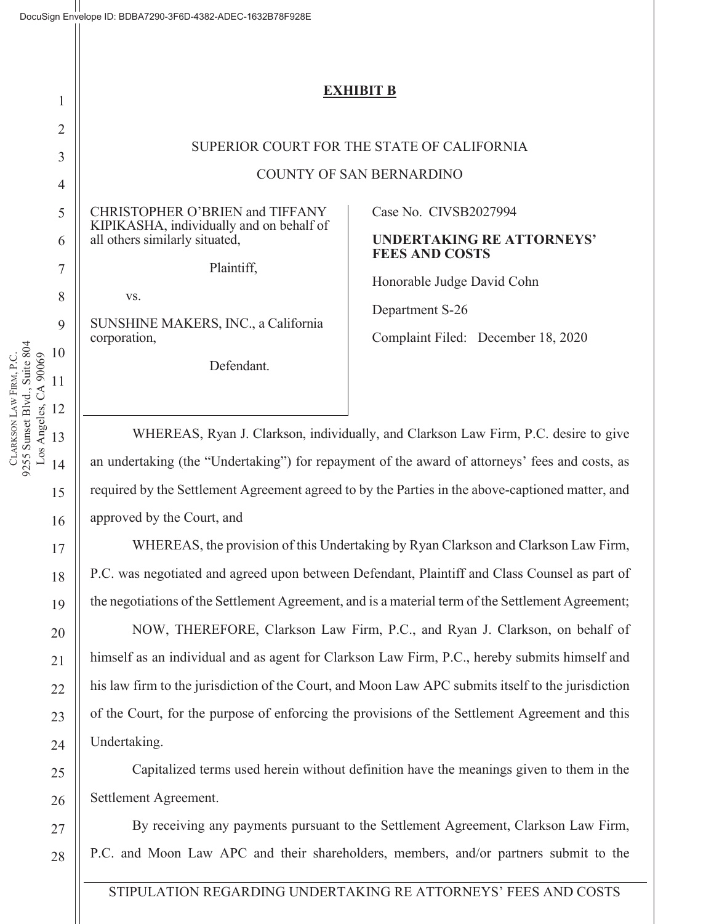Notice Plan will provide the best notice practicable and meets the desire to actually inform. Furthermore, it provides the same reach and frequency evidence that Courts have approved in previous settlements.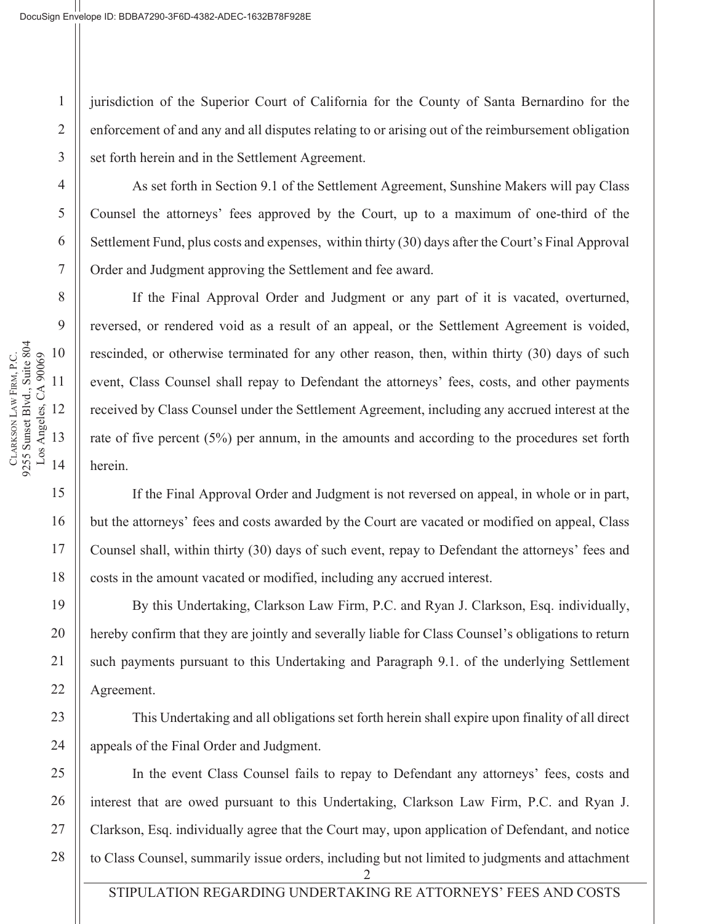# **EXHIBIT B**

# SUPERIOR COURT FOR THE STATE OF CALIFORNIA

COUNTY OF SAN BERNARDINO

CHRISTOPHER O'BRIEN and TIFFANY KIPIKASHA, individually and on behalf of all others similarly situated,

Plaintiff,

vs.

1

2

3

4

5

6

SUNSHINE MAKERS, INC., a California corporation,

Defendant.

Case No. CIVSB2027994

#### **UNDERTAKING RE ATTORNEYS' FEES AND COSTS**

Honorable Judge David Cohn

Department S-26

Complaint Filed: December 18, 2020

WHEREAS, Ryan J. Clarkson, individually, and Clarkson Law Firm, P.C. desire to give an undertaking (the "Undertaking") for repayment of the award of attorneys' fees and costs, as required by the Settlement Agreement agreed to by the Parties in the above-captioned matter, and approved by the Court, and

WHEREAS, the provision of this Undertaking by Ryan Clarkson and Clarkson Law Firm, P.C. was negotiated and agreed upon between Defendant, Plaintiff and Class Counsel as part of the negotiations of the Settlement Agreement, and is a material term of the Settlement Agreement;

NOW, THEREFORE, Clarkson Law Firm, P.C., and Ryan J. Clarkson, on behalf of himself as an individual and as agent for Clarkson Law Firm, P.C., hereby submits himself and his law firm to the jurisdiction of the Court, and Moon Law APC submits itself to the jurisdiction of the Court, for the purpose of enforcing the provisions of the Settlement Agreement and this Undertaking.

Capitalized terms used herein without definition have the meanings given to them in the Settlement Agreement.

By receiving any payments pursuant to the Settlement Agreement, Clarkson Law Firm, P.C. and Moon Law APC and their shareholders, members, and/or partners submit to the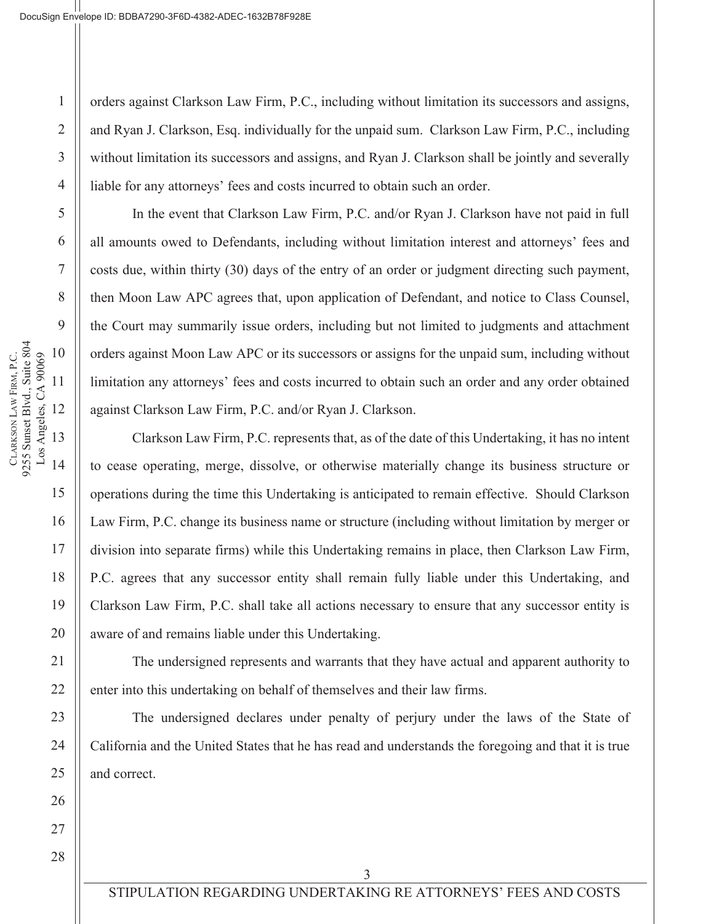jurisdiction of the Superior Court of California for the County of Santa Bernardino for the enforcement of and any and all disputes relating to or arising out of the reimbursement obligation set forth herein and in the Settlement Agreement.

As set forth in Section 9.1 of the Settlement Agreement, Sunshine Makers will pay Class Counsel the attorneys' fees approved by the Court, up to a maximum of one-third of the Settlement Fund, plus costs and expenses, within thirty (30) days after the Court's Final Approval Order and Judgment approving the Settlement and fee award.

If the Final Approval Order and Judgment or any part of it is vacated, overturned, reversed, or rendered void as a result of an appeal, or the Settlement Agreement is voided, rescinded, or otherwise terminated for any other reason, then, within thirty (30) days of such event, Class Counsel shall repay to Defendant the attorneys' fees, costs, and other payments received by Class Counsel under the Settlement Agreement, including any accrued interest at the rate of five percent (5%) per annum, in the amounts and according to the procedures set forth herein.

If the Final Approval Order and Judgment is not reversed on appeal, in whole or in part, but the attorneys' fees and costs awarded by the Court are vacated or modified on appeal, Class Counsel shall, within thirty (30) days of such event, repay to Defendant the attorneys' fees and costs in the amount vacated or modified, including any accrued interest.

By this Undertaking, Clarkson Law Firm, P.C. and Ryan J. Clarkson, Esq. individually, hereby confirm that they are jointly and severally liable for Class Counsel's obligations to return such payments pursuant to this Undertaking and Paragraph 9.1. of the underlying Settlement Agreement.

This Undertaking and all obligations set forth herein shall expire upon finality of all direct appeals of the Final Order and Judgment.

2 In the event Class Counsel fails to repay to Defendant any attorneys' fees, costs and interest that are owed pursuant to this Undertaking, Clarkson Law Firm, P.C. and Ryan J. Clarkson, Esq. individually agree that the Court may, upon application of Defendant, and notice to Class Counsel, summarily issue orders, including but not limited to judgments and attachment

**CLARKSON** 

LAW FIRM, P.C.

9255 Sunset Blvd., Suite 804 Los Angeles, CA 90069

CLARKSON LAW FIRM, P.C.<br>9255 Sunset Blvd., Suite 804<br>Los Angeles, CA 90069

1

2

3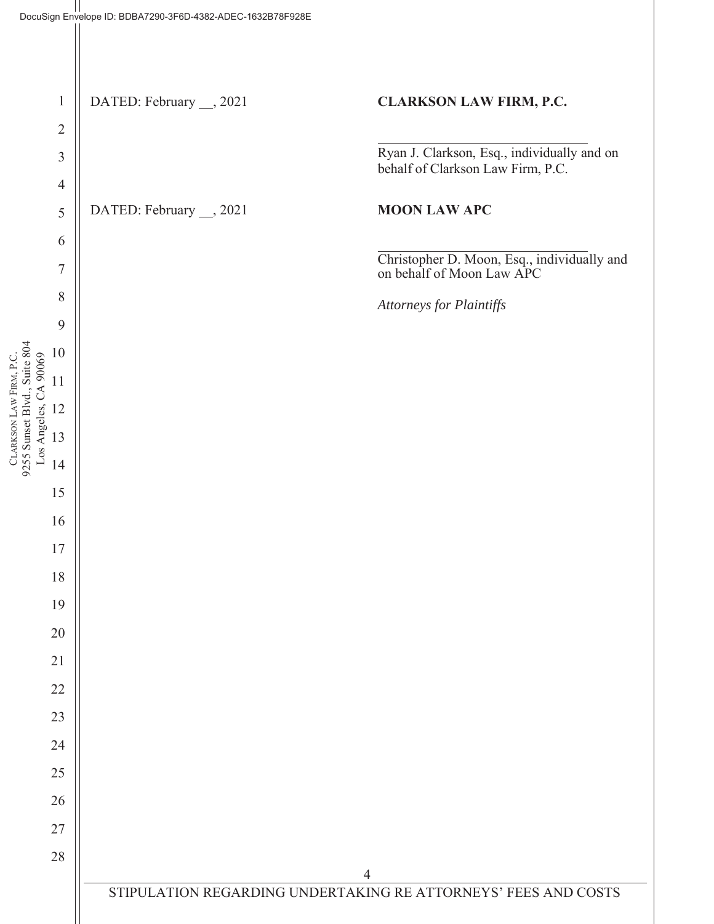orders against Clarkson Law Firm, P.C., including without limitation its successors and assigns, and Ryan J. Clarkson, Esq. individually for the unpaid sum. Clarkson Law Firm, P.C., including without limitation its successors and assigns, and Ryan J. Clarkson shall be jointly and severally liable for any attorneys' fees and costs incurred to obtain such an order.

In the event that Clarkson Law Firm, P.C. and/or Ryan J. Clarkson have not paid in full all amounts owed to Defendants, including without limitation interest and attorneys' fees and costs due, within thirty (30) days of the entry of an order or judgment directing such payment, then Moon Law APC agrees that, upon application of Defendant, and notice to Class Counsel, the Court may summarily issue orders, including but not limited to judgments and attachment orders against Moon Law APC or its successors or assigns for the unpaid sum, including without limitation any attorneys' fees and costs incurred to obtain such an order and any order obtained against Clarkson Law Firm, P.C. and/or Ryan J. Clarkson.

Clarkson Law Firm, P.C. represents that, as of the date of this Undertaking, it has no intent to cease operating, merge, dissolve, or otherwise materially change its business structure or operations during the time this Undertaking is anticipated to remain effective. Should Clarkson Law Firm, P.C. change its business name or structure (including without limitation by merger or division into separate firms) while this Undertaking remains in place, then Clarkson Law Firm, P.C. agrees that any successor entity shall remain fully liable under this Undertaking, and Clarkson Law Firm, P.C. shall take all actions necessary to ensure that any successor entity is aware of and remains liable under this Undertaking.

The undersigned represents and warrants that they have actual and apparent authority to enter into this undertaking on behalf of themselves and their law firms.

The undersigned declares under penalty of perjury under the laws of the State of California and the United States that he has read and understands the foregoing and that it is true and correct.

**CLARKSON** 

LAW FIRM, P.C.

CLARKSON LAW FIRM, P.C.

9255 Sunset Blvd., Suite 804

1

2

3

4

5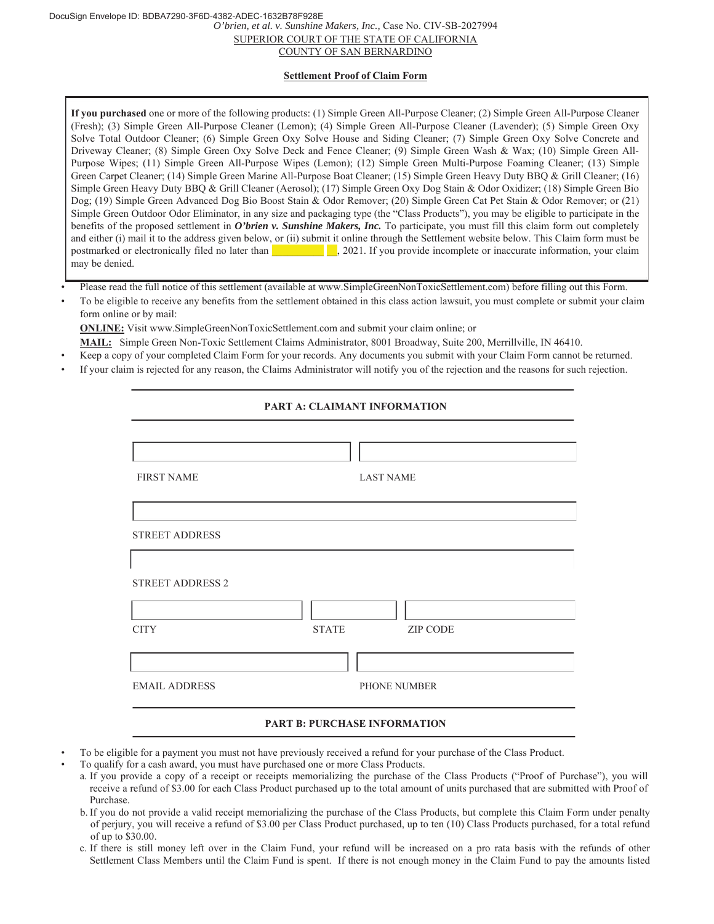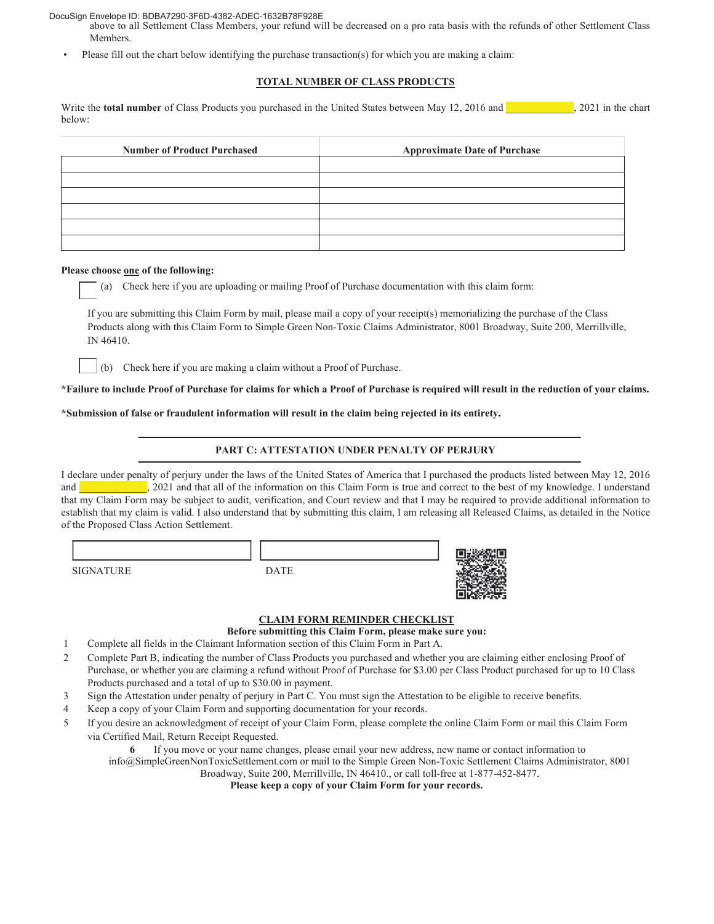DocuSign Envelope ID: BDBA7290-3F6D-4382-ADEC-1632B78F928E

*O'brien, et al. v. Sunshine Makers, Inc.,* Case No. CIV-SB-2027994 SUPERIOR COURT OF THE STATE OF CALIFORNIA COUNTY OF SAN BERNARDINO

#### **Settlement Proof of Claim Form**

**If you purchased** one or more of the following products: (1) Simple Green All-Purpose Cleaner; (2) Simple Green All-Purpose Cleaner (Fresh); (3) Simple Green All-Purpose Cleaner (Lemon); (4) Simple Green All-Purpose Cleaner (Lavender); (5) Simple Green Oxy Solve Total Outdoor Cleaner; (6) Simple Green Oxy Solve House and Siding Cleaner; (7) Simple Green Oxy Solve Concrete and Driveway Cleaner; (8) Simple Green Oxy Solve Deck and Fence Cleaner; (9) Simple Green Wash & Wax; (10) Simple Green All-Purpose Wipes; (11) Simple Green All-Purpose Wipes (Lemon); (12) Simple Green Multi-Purpose Foaming Cleaner; (13) Simple Green Carpet Cleaner; (14) Simple Green Marine All-Purpose Boat Cleaner; (15) Simple Green Heavy Duty BBQ & Grill Cleaner; (16) Simple Green Heavy Duty BBQ & Grill Cleaner (Aerosol); (17) Simple Green Oxy Dog Stain & Odor Oxidizer; (18) Simple Green Bio Dog; (19) Simple Green Advanced Dog Bio Boost Stain & Odor Remover; (20) Simple Green Cat Pet Stain & Odor Remover; or (21) Simple Green Outdoor Odor Eliminator, in any size and packaging type (the "Class Products"), you may be eligible to participate in the benefits of the proposed settlement in *O'brien v. Sunshine Makers, Inc.* To participate, you must fill this claim form out completely and either (i) mail it to the address given below, or (ii) submit it online through the Settlement website below. This Claim form must be postmarked or electronically filed no later than  $\Box$ , 2021. If you provide incomplete or inaccurate information, your claim may be denied.

• Please read the full notice of this settlement (available at www.SimpleGreenNonToxicSettlement.com) before filling out this Form.

• To be eligible to receive any benefits from the settlement obtained in this class action lawsuit, you must complete or submit your claim form online or by mail:

**ONLINE:** Visit www.SimpleGreenNonToxicSettlement.com and submit your claim online; or

- **MAIL:** Simple Green Non-Toxic Settlement Claims Administrator, 8001 Broadway, Suite 200, Merrillville, IN 46410.
- Keep a copy of your completed Claim Form for your records. Any documents you submit with your Claim Form cannot be returned.
- If your claim is rejected for any reason, the Claims Administrator will notify you of the rejection and the reasons for such rejection.

#### **PART A: CLAIMANT INFORMATION**

| <b>FIRST NAME</b>       | <b>LAST NAME</b>                |
|-------------------------|---------------------------------|
|                         |                                 |
| <b>STREET ADDRESS</b>   |                                 |
|                         |                                 |
| <b>STREET ADDRESS 2</b> |                                 |
|                         |                                 |
|                         |                                 |
| <b>CITY</b>             | <b>STATE</b><br><b>ZIP CODE</b> |
|                         |                                 |
| <b>EMAIL ADDRESS</b>    | PHONE NUMBER                    |

#### **PART B: PURCHASE INFORMATION**

- To be eligible for a payment you must not have previously received a refund for your purchase of the Class Product.
- To qualify for a cash award, you must have purchased one or more Class Products.
	- a. If you provide a copy of a receipt or receipts memorializing the purchase of the Class Products ("Proof of Purchase"), you will receive a refund of \$3.00 for each Class Product purchased up to the total amount of units purchased that are submitted with Proof of Purchase.
	- b. If you do not provide a valid receipt memorializing the purchase of the Class Products, but complete this Claim Form under penalty of perjury, you will receive a refund of \$3.00 per Class Product purchased, up to ten (10) Class Products purchased, for a total refund of up to \$30.00.
	- c. If there is still money left over in the Claim Fund, your refund will be increased on a pro rata basis with the refunds of other Settlement Class Members until the Claim Fund is spent. If there is not enough money in the Claim Fund to pay the amounts listed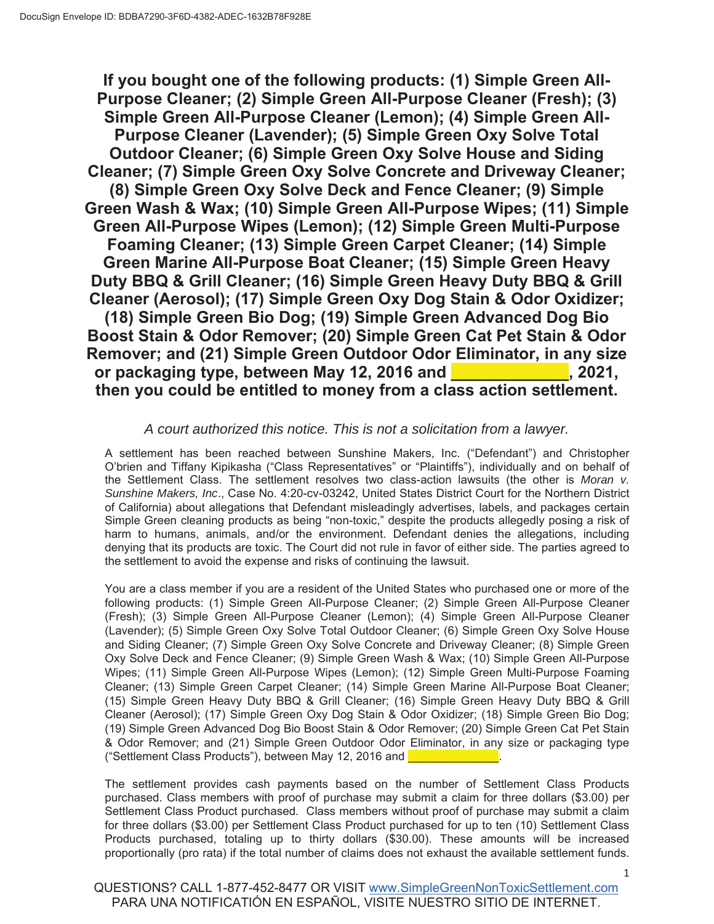#### DocuSign Envelope ID: BDBA7290-3F6D-4382-ADEC-1632B78F928E

- above to all Settlement Class Members, your refund will be decreased on a pro rata basis with the refunds of other Settlement Class **Members**
- Please fill out the chart below identifying the purchase transaction(s) for which you are making a claim:

#### **TOTAL NUMBER OF CLASS PRODUCTS**

Write the **total number** of Class Products you purchased in the United States between May 12, 2016 and **and**  $\frac{1}{2}$ , 2021 in the chart below:

| <b>Number of Product Purchased</b> | <b>Approximate Date of Purchase</b> |
|------------------------------------|-------------------------------------|
|                                    |                                     |
|                                    |                                     |
|                                    |                                     |
|                                    |                                     |
|                                    |                                     |
|                                    |                                     |

#### **Please choose one of the following:**

(a) Check here if you are uploading or mailing Proof of Purchase documentation with this claim form:

If you are submitting this Claim Form by mail, please mail a copy of your receipt(s) memorializing the purchase of the Class Products along with this Claim Form to Simple Green Non-Toxic Claims Administrator, 8001 Broadway, Suite 200, Merrillville, IN 46410.



(b) Check here if you are making a claim without a Proof of Purchase.

**\*Failure to include Proof of Purchase for claims for which a Proof of Purchase is required will result in the reduction of your claims.**

**\*Submission of false or fraudulent information will result in the claim being rejected in its entirety.**

#### **PART C: ATTESTATION UNDER PENALTY OF PERJURY**

I declare under penalty of perjury under the laws of the United States of America that I purchased the products listed between May 12, 2016 and **and all of the information on this Claim Form is true and correct to the best of my knowledge. I understand** that my Claim Form may be subject to audit, verification, and Court review and that I may be required to provide additional information to establish that my claim is valid. I also understand that by submitting this claim, I am releasing all Released Claims, as detailed in the Notice of the Proposed Class Action Settlement.

SIGNATURE DATE



#### **CLAIM FORM REMINDER CHECKLIST**

**Before submitting this Claim Form, please make sure you:**

- 1 Complete all fields in the Claimant Information section of this Claim Form in Part A.
- 2 Complete Part B, indicating the number of Class Products you purchased and whether you are claiming either enclosing Proof of Purchase, or whether you are claiming a refund without Proof of Purchase for \$3.00 per Class Product purchased for up to 10 Class Products purchased and a total of up to \$30.00 in payment.
- 3 Sign the Attestation under penalty of perjury in Part C. You must sign the Attestation to be eligible to receive benefits.
- 4 Keep a copy of your Claim Form and supporting documentation for your records.
- 5 If you desire an acknowledgment of receipt of your Claim Form, please complete the online Claim Form or mail this Claim Form via Certified Mail, Return Receipt Requested.

**6** If you move or your name changes, please email your new address, new name or contact information to info@SimpleGreenNonToxicSettlement.com or mail to the Simple Green Non-Toxic Settlement Claims Administrator, 8001 Broadway, Suite 200, Merrillville, IN 46410., or call toll-free at 1-877-452-8477.

**Please keep a copy of your Claim Form for your records.**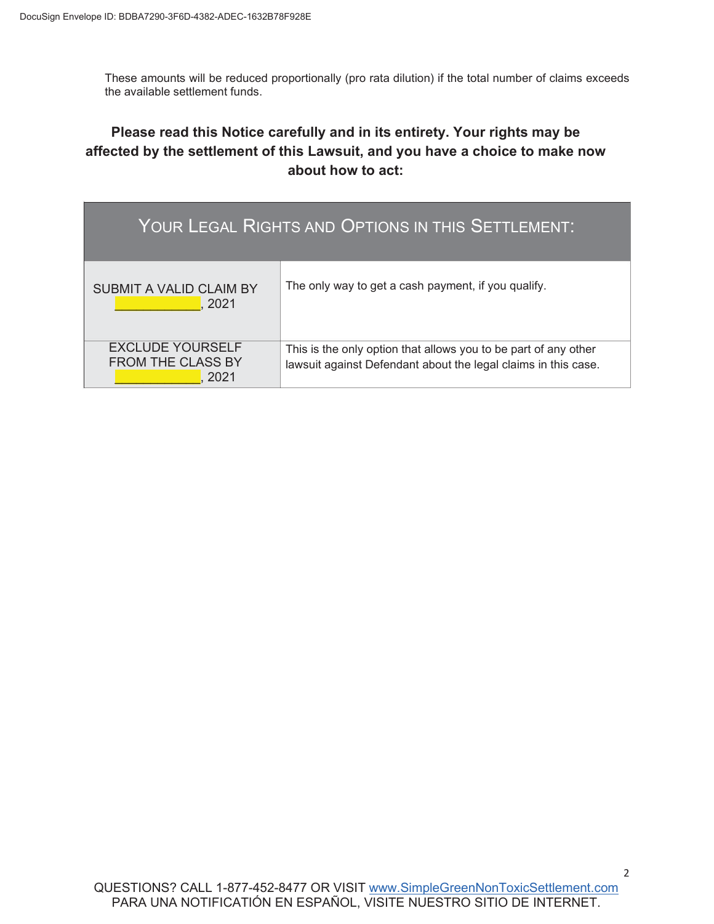**If you bought one of the following products: (1) Simple Green All-Purpose Cleaner; (2) Simple Green All-Purpose Cleaner (Fresh); (3) Simple Green All-Purpose Cleaner (Lemon); (4) Simple Green All-Purpose Cleaner (Lavender); (5) Simple Green Oxy Solve Total Outdoor Cleaner; (6) Simple Green Oxy Solve House and Siding Cleaner; (7) Simple Green Oxy Solve Concrete and Driveway Cleaner; (8) Simple Green Oxy Solve Deck and Fence Cleaner; (9) Simple Green Wash & Wax; (10) Simple Green All-Purpose Wipes; (11) Simple Green All-Purpose Wipes (Lemon); (12) Simple Green Multi-Purpose Foaming Cleaner; (13) Simple Green Carpet Cleaner; (14) Simple Green Marine All-Purpose Boat Cleaner; (15) Simple Green Heavy Duty BBQ & Grill Cleaner; (16) Simple Green Heavy Duty BBQ & Grill Cleaner (Aerosol); (17) Simple Green Oxy Dog Stain & Odor Oxidizer; (18) Simple Green Bio Dog; (19) Simple Green Advanced Dog Bio Boost Stain & Odor Remover; (20) Simple Green Cat Pet Stain & Odor Remover; and (21) Simple Green Outdoor Odor Eliminator, in any size or packaging type, between May 12, 2016 and \_\_\_\_\_\_\_\_\_\_\_\_\_, 2021, then you could be entitled to money from a class action settlement.**

#### *A court authorized this notice. This is not a solicitation from a lawyer.*

 A settlement has been reached between Sunshine Makers, Inc. ("Defendant") and Christopher O'brien and Tiffany Kipikasha ("Class Representatives" or "Plaintiffs"), individually and on behalf of the Settlement Class. The settlement resolves two class-action lawsuits (the other is *Moran v. Sunshine Makers, Inc*., Case No. 4:20-cv-03242, United States District Court for the Northern District of California) about allegations that Defendant misleadingly advertises, labels, and packages certain Simple Green cleaning products as being "non-toxic," despite the products allegedly posing a risk of harm to humans, animals, and/or the environment. Defendant denies the allegations, including denying that its products are toxic. The Court did not rule in favor of either side. The parties agreed to the settlement to avoid the expense and risks of continuing the lawsuit.

 You are a class member if you are a resident of the United States who purchased one or more of the following products: (1) Simple Green All-Purpose Cleaner; (2) Simple Green All-Purpose Cleaner (Fresh); (3) Simple Green All-Purpose Cleaner (Lemon); (4) Simple Green All-Purpose Cleaner (Lavender); (5) Simple Green Oxy Solve Total Outdoor Cleaner; (6) Simple Green Oxy Solve House and Siding Cleaner; (7) Simple Green Oxy Solve Concrete and Driveway Cleaner; (8) Simple Green Oxy Solve Deck and Fence Cleaner; (9) Simple Green Wash & Wax; (10) Simple Green All-Purpose Wipes; (11) Simple Green All-Purpose Wipes (Lemon); (12) Simple Green Multi-Purpose Foaming Cleaner; (13) Simple Green Carpet Cleaner; (14) Simple Green Marine All-Purpose Boat Cleaner; (15) Simple Green Heavy Duty BBQ & Grill Cleaner; (16) Simple Green Heavy Duty BBQ & Grill Cleaner (Aerosol); (17) Simple Green Oxy Dog Stain & Odor Oxidizer; (18) Simple Green Bio Dog; (19) Simple Green Advanced Dog Bio Boost Stain & Odor Remover; (20) Simple Green Cat Pet Stain & Odor Remover; and (21) Simple Green Outdoor Odor Eliminator, in any size or packaging type ("Settlement Class Products"), between May 12, 2016 and

 The settlement provides cash payments based on the number of Settlement Class Products purchased. Class members with proof of purchase may submit a claim for three dollars (\$3.00) per Settlement Class Product purchased. Class members without proof of purchase may submit a claim for three dollars (\$3.00) per Settlement Class Product purchased for up to ten (10) Settlement Class Products purchased, totaling up to thirty dollars (\$30.00). These amounts will be increased proportionally (pro rata) if the total number of claims does not exhaust the available settlement funds.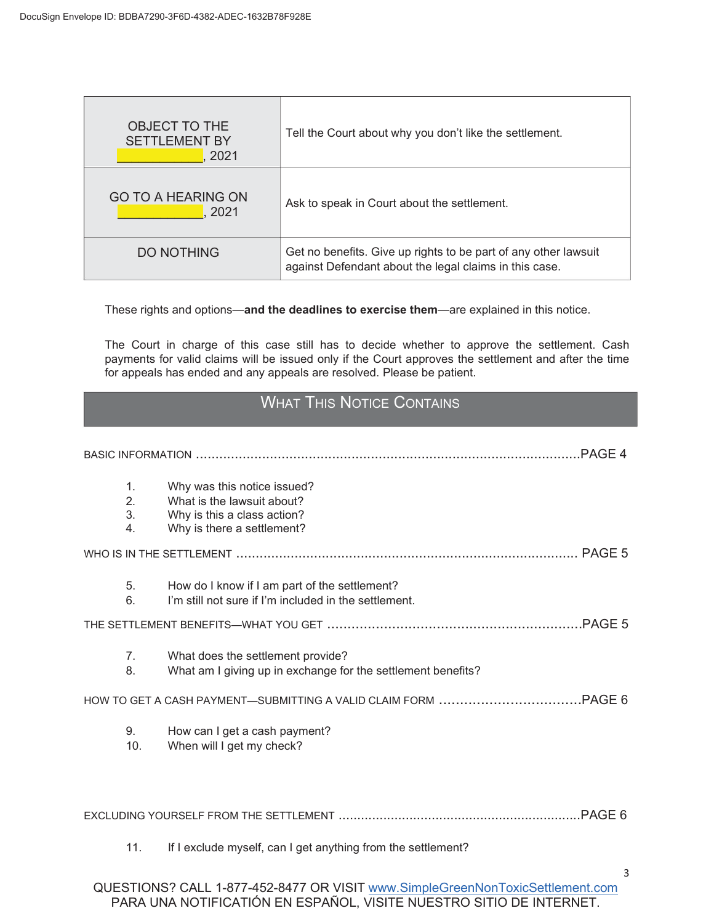These amounts will be reduced proportionally (pro rata dilution) if the total number of claims exceeds the available settlement funds.

# **Please read this Notice carefully and in its entirety. Your rights may be affected by the settlement of this Lawsuit, and you have a choice to make now about how to act:**

| YOUR LEGAL RIGHTS AND OPTIONS IN THIS SETTLEMENT:           |                                                                                                                                   |  |  |
|-------------------------------------------------------------|-----------------------------------------------------------------------------------------------------------------------------------|--|--|
| <b>SUBMIT A VALID CLAIM BY</b><br>2021                      | The only way to get a cash payment, if you qualify.                                                                               |  |  |
| <b>EXCLUDE YOURSELF</b><br><b>FROM THE CLASS BY</b><br>2021 | This is the only option that allows you to be part of any other<br>lawsuit against Defendant about the legal claims in this case. |  |  |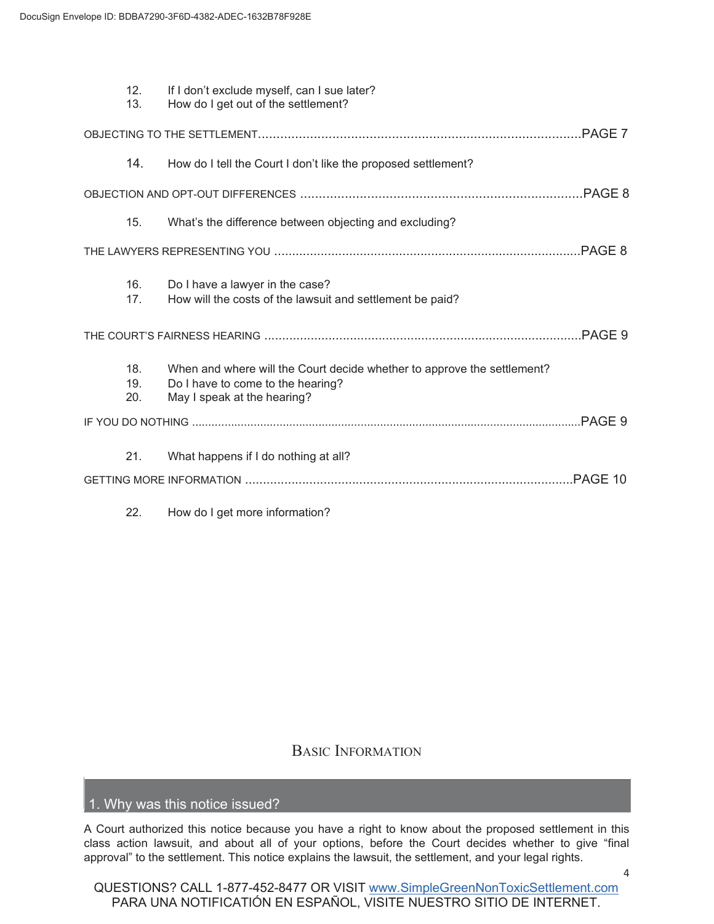| OBJECT TO THE<br><b>SETTLEMENT BY</b><br>2021 | Tell the Court about why you don't like the settlement.                                                                   |
|-----------------------------------------------|---------------------------------------------------------------------------------------------------------------------------|
| GO TO A HEARING ON<br>2021                    | Ask to speak in Court about the settlement.                                                                               |
| DO NOTHING                                    | Get no benefits. Give up rights to be part of any other lawsuit<br>against Defendant about the legal claims in this case. |

These rights and options—**and the deadlines to exercise them**—are explained in this notice.

 The Court in charge of this case still has to decide whether to approve the settlement. Cash payments for valid claims will be issued only if the Court approves the settlement and after the time for appeals has ended and any appeals are resolved. Please be patient.

# WHAT THIS NOTICE CONTAINS

|                                  |                                                                                                                        | PAGE 4 |
|----------------------------------|------------------------------------------------------------------------------------------------------------------------|--------|
| 1 <sub>1</sub><br>2.<br>3.<br>4. | Why was this notice issued?<br>What is the lawsuit about?<br>Why is this a class action?<br>Why is there a settlement? |        |
|                                  |                                                                                                                        |        |
| 5.<br>6.                         | How do I know if I am part of the settlement?<br>I'm still not sure if I'm included in the settlement.                 |        |
|                                  |                                                                                                                        |        |
| 7 <sub>1</sub><br>8.             | What does the settlement provide?<br>What am I giving up in exchange for the settlement benefits?                      |        |
|                                  |                                                                                                                        |        |
| 9.<br>10.                        | How can I get a cash payment?<br>When will I get my check?                                                             |        |
|                                  |                                                                                                                        |        |
| 11.                              | If I exclude myself, can I get anything from the settlement?                                                           | 3      |
|                                  |                                                                                                                        |        |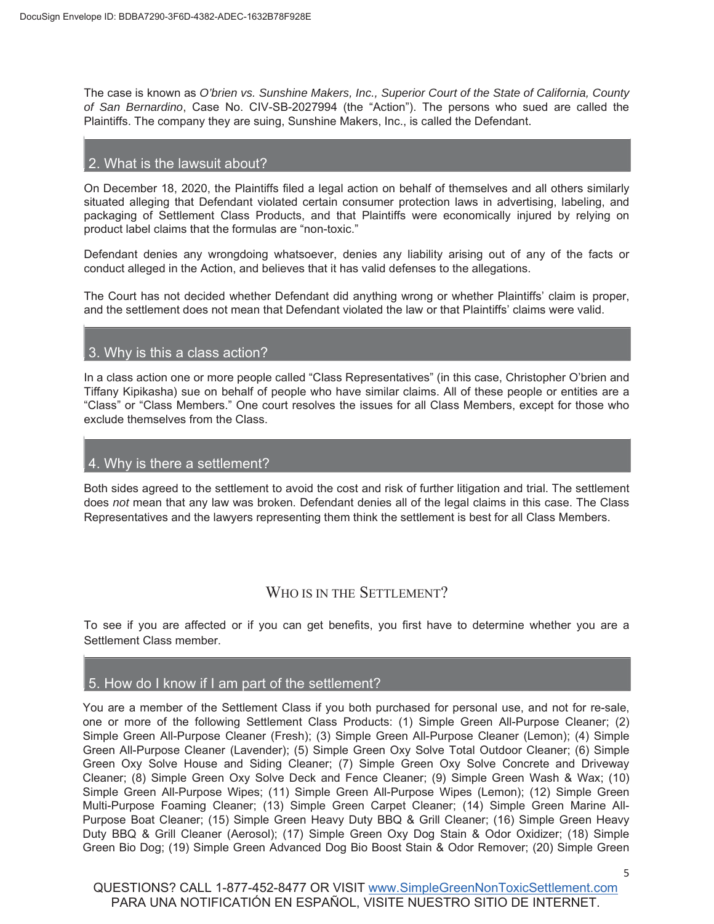|  | 12.<br>13.        | If I don't exclude myself, can I sue later?<br>How do I get out of the settlement?                                                          |  |
|--|-------------------|---------------------------------------------------------------------------------------------------------------------------------------------|--|
|  |                   |                                                                                                                                             |  |
|  | 14.               | How do I tell the Court I don't like the proposed settlement?                                                                               |  |
|  |                   |                                                                                                                                             |  |
|  | 15.               | What's the difference between objecting and excluding?                                                                                      |  |
|  |                   |                                                                                                                                             |  |
|  | 16.<br>17.        | Do I have a lawyer in the case?<br>How will the costs of the lawsuit and settlement be paid?                                                |  |
|  |                   |                                                                                                                                             |  |
|  | 18.<br>19.<br>20. | When and where will the Court decide whether to approve the settlement?<br>Do I have to come to the hearing?<br>May I speak at the hearing? |  |
|  |                   |                                                                                                                                             |  |
|  | 21.               | What happens if I do nothing at all?                                                                                                        |  |
|  |                   |                                                                                                                                             |  |
|  |                   |                                                                                                                                             |  |

#### 22. How do I get more information?

### BASIC INFORMATION

### 1. Why was this notice issued?

A Court authorized this notice because you have a right to know about the proposed settlement in this class action lawsuit, and about all of your options, before the Court decides whether to give "final approval" to the settlement. This notice explains the lawsuit, the settlement, and your legal rights.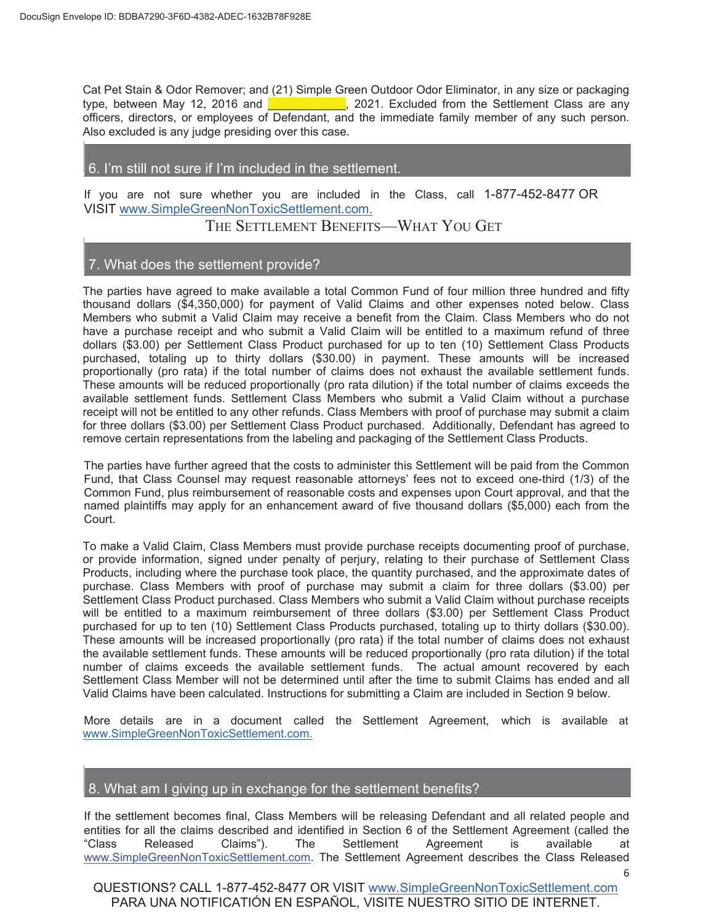The case is known as *O'brien vs. Sunshine Makers, Inc., Superior Court of the State of California, County of San Bernardino*, Case No. CIV-SB-2027994 (the "Action"). The persons who sued are called the Plaintiffs. The company they are suing, Sunshine Makers, Inc., is called the Defendant.

#### 2. What is the lawsuit about?

On December 18, 2020, the Plaintiffs filed a legal action on behalf of themselves and all others similarly situated alleging that Defendant violated certain consumer protection laws in advertising, labeling, and packaging of Settlement Class Products, and that Plaintiffs were economically injured by relying on product label claims that the formulas are "non-toxic."

Defendant denies any wrongdoing whatsoever, denies any liability arising out of any of the facts or conduct alleged in the Action, and believes that it has valid defenses to the allegations.

The Court has not decided whether Defendant did anything wrong or whether Plaintiffs' claim is proper, and the settlement does not mean that Defendant violated the law or that Plaintiffs' claims were valid.

#### 3. Why is this a class action?

In a class action one or more people called "Class Representatives" (in this case, Christopher O'brien and Tiffany Kipikasha) sue on behalf of people who have similar claims. All of these people or entities are a "Class" or "Class Members." One court resolves the issues for all Class Members, except for those who exclude themselves from the Class.

#### 4. Why is there a settlement?

Both sides agreed to the settlement to avoid the cost and risk of further litigation and trial. The settlement does *not* mean that any law was broken. Defendant denies all of the legal claims in this case. The Class Representatives and the lawyers representing them think the settlement is best for all Class Members.

#### WHO IS IN THE SETTLEMENT?

To see if you are affected or if you can get benefits, you first have to determine whether you are a Settlement Class member.

#### 5. How do I know if I am part of the settlement?

You are a member of the Settlement Class if you both purchased for personal use, and not for re-sale, one or more of the following Settlement Class Products: (1) Simple Green All-Purpose Cleaner; (2) Simple Green All-Purpose Cleaner (Fresh); (3) Simple Green All-Purpose Cleaner (Lemon); (4) Simple Green All-Purpose Cleaner (Lavender); (5) Simple Green Oxy Solve Total Outdoor Cleaner; (6) Simple Green Oxy Solve House and Siding Cleaner; (7) Simple Green Oxy Solve Concrete and Driveway Cleaner; (8) Simple Green Oxy Solve Deck and Fence Cleaner; (9) Simple Green Wash & Wax; (10) Simple Green All-Purpose Wipes; (11) Simple Green All-Purpose Wipes (Lemon); (12) Simple Green Multi-Purpose Foaming Cleaner; (13) Simple Green Carpet Cleaner; (14) Simple Green Marine All-Purpose Boat Cleaner; (15) Simple Green Heavy Duty BBQ & Grill Cleaner; (16) Simple Green Heavy Duty BBQ & Grill Cleaner (Aerosol); (17) Simple Green Oxy Dog Stain & Odor Oxidizer; (18) Simple Green Bio Dog; (19) Simple Green Advanced Dog Bio Boost Stain & Odor Remover; (20) Simple Green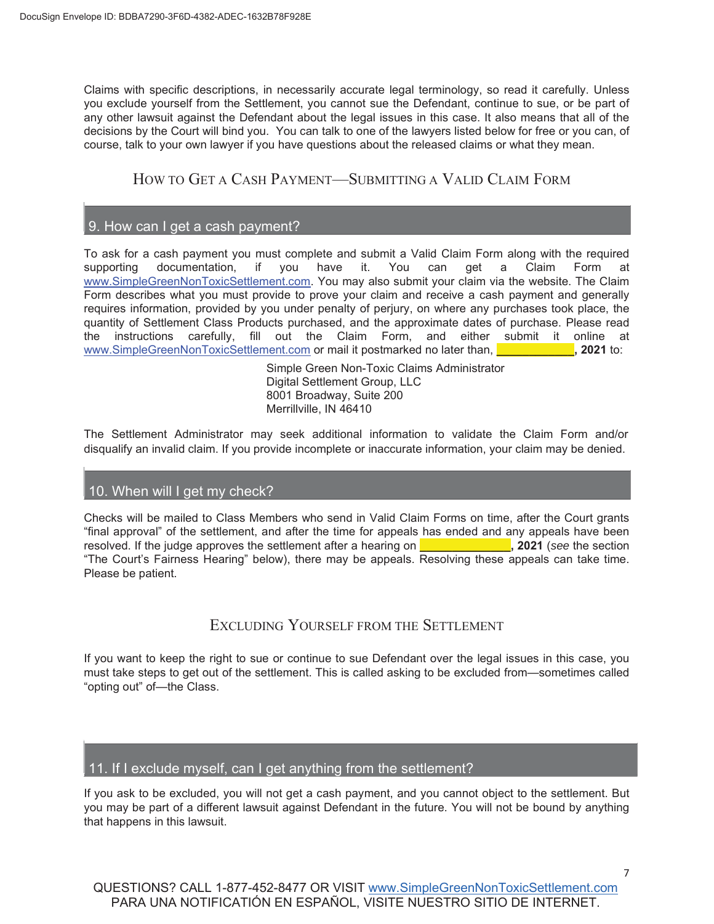Cat Pet Stain & Odor Remover; and (21) Simple Green Outdoor Odor Eliminator, in any size or packaging type, between May 12, 2016 and **Election 2021.** 2021. Excluded from the Settlement Class are any officers, directors, or employees of Defendant, and the immediate family member of any such person. Also excluded is any judge presiding over this case.

#### 6. I'm still not sure if I'm included in the settlement.

If you are not sure whether you are included in the Class, call 1-877-452-8477 OR VISIT www.SimpleGreenNonToxicSettlement.com.

THE SETTLEMENT BENEFITS-WHAT YOU GET

#### 7. What does the settlement provide?

The parties have agreed to make available a total Common Fund of four million three hundred and fifty thousand dollars (\$4,350,000) for payment of Valid Claims and other expenses noted below. Class Members who submit a Valid Claim may receive a benefit from the Claim. Class Members who do not have a purchase receipt and who submit a Valid Claim will be entitled to a maximum refund of three dollars (\$3.00) per Settlement Class Product purchased for up to ten (10) Settlement Class Products purchased, totaling up to thirty dollars (\$30.00) in payment. These amounts will be increased proportionally (pro rata) if the total number of claims does not exhaust the available settlement funds. These amounts will be reduced proportionally (pro rata dilution) if the total number of claims exceeds the available settlement funds. Settlement Class Members who submit a Valid Claim without a purchase receipt will not be entitled to any other refunds. Class Members with proof of purchase may submit a claim for three dollars (\$3.00) per Settlement Class Product purchased. Additionally, Defendant has agreed to remove certain representations from the labeling and packaging of the Settlement Class Products.

The parties have further agreed that the costs to administer this Settlement will be paid from the Common Fund, that Class Counsel may request reasonable attorneys' fees not to exceed one-third (1/3) of the Common Fund, plus reimbursement of reasonable costs and expenses upon Court approval, and that the named plaintiffs may apply for an enhancement award of five thousand dollars (\$5,000) each from the Court.

To make a Valid Claim, Class Members must provide purchase receipts documenting proof of purchase, or provide information, signed under penalty of perjury, relating to their purchase of Settlement Class Products, including where the purchase took place, the quantity purchased, and the approximate dates of purchase. Class Members with proof of purchase may submit a claim for three dollars (\$3.00) per Settlement Class Product purchased. Class Members who submit a Valid Claim without purchase receipts will be entitled to a maximum reimbursement of three dollars (\$3.00) per Settlement Class Product purchased for up to ten (10) Settlement Class Products purchased, totaling up to thirty dollars (\$30.00). These amounts will be increased proportionally (pro rata) if the total number of claims does not exhaust the available settlement funds. These amounts will be reduced proportionally (pro rata dilution) if the total number of claims exceeds the available settlement funds. The actual amount recovered by each Settlement Class Member will not be determined until after the time to submit Claims has ended and all Valid Claims have been calculated. Instructions for submitting a Claim are included in Section 9 below.

More details are in a document called the Settlement Agreement, which is available at www.SimpleGreenNonToxicSettlement.com.

#### 8. What am I giving up in exchange for the settlement benefits?

If the settlement becomes final, Class Members will be releasing Defendant and all related people and entities for all the claims described and identified in Section 6 of the Settlement Agreement (called the "Class Released Claims"). The Settlement Agreement is available at www.SimpleGreenNonToxicSettlement.com. The Settlement Agreement describes the Class Released

<sup>6</sup>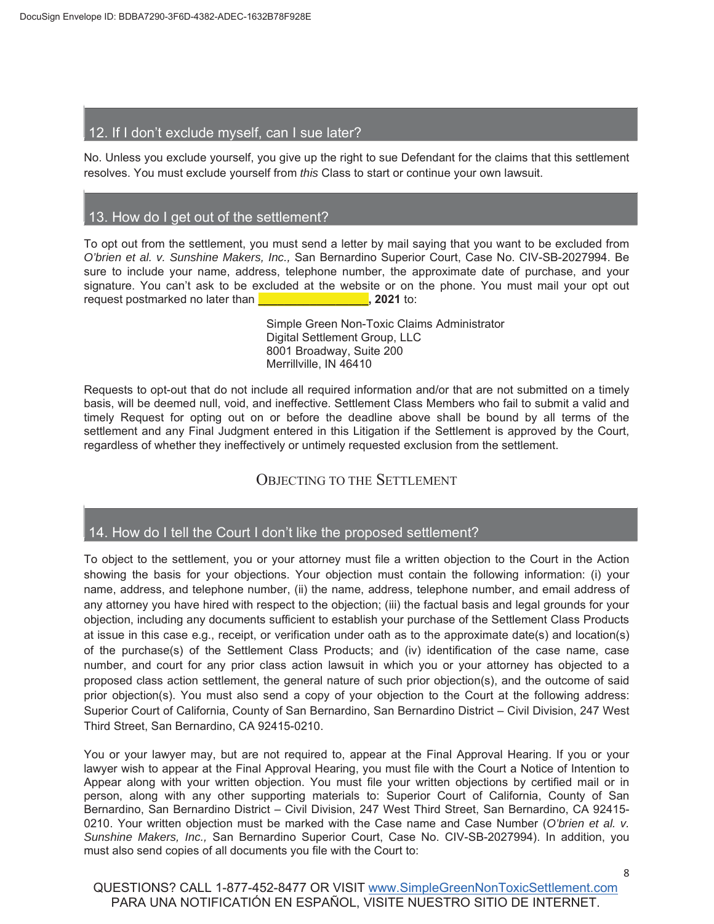Claims with specific descriptions, in necessarily accurate legal terminology, so read it carefully. Unless you exclude yourself from the Settlement, you cannot sue the Defendant, continue to sue, or be part of any other lawsuit against the Defendant about the legal issues in this case. It also means that all of the decisions by the Court will bind you. You can talk to one of the lawyers listed below for free or you can, of course, talk to your own lawyer if you have questions about the released claims or what they mean.

## HOW TO GET A CASH PAYMENT—SUBMITTING A VALID CLAIM FORM

### 9. How can I get a cash payment?

To ask for a cash payment you must complete and submit a Valid Claim Form along with the required supporting documentation, if you have it. You can get a Claim Form at www.SimpleGreenNonToxicSettlement.com. You may also submit your claim via the website. The Claim Form describes what you must provide to prove your claim and receive a cash payment and generally requires information, provided by you under penalty of perjury, on where any purchases took place, the quantity of Settlement Class Products purchased, and the approximate dates of purchase. Please read the instructions carefully, fill out the Claim Form, and either submit it online at www.SimpleGreenNonToxicSettlement.com or mail it postmarked no later than, **\_\_\_\_\_\_\_\_\_\_\_\_, 2021** to:

> Simple Green Non-Toxic Claims Administrator Digital Settlement Group, LLC 8001 Broadway, Suite 200 Merrillville, IN 46410

The Settlement Administrator may seek additional information to validate the Claim Form and/or disqualify an invalid claim. If you provide incomplete or inaccurate information, your claim may be denied.

#### 10. When will I get my check?

Checks will be mailed to Class Members who send in Valid Claim Forms on time, after the Court grants "final approval" of the settlement, and after the time for appeals has ended and any appeals have been resolved. If the judge approves the settlement after a hearing on **\_\_\_\_\_\_\_\_\_\_\_\_\_\_, 2021** (*see* the section "The Court's Fairness Hearing" below), there may be appeals. Resolving these appeals can take time. Please be patient.

# EXCLUDING YOURSELF FROM THE SETTLEMENT

If you want to keep the right to sue or continue to sue Defendant over the legal issues in this case, you must take steps to get out of the settlement. This is called asking to be excluded from—sometimes called "opting out" of—the Class.

#### 11. If I exclude myself, can I get anything from the settlement?

If you ask to be excluded, you will not get a cash payment, and you cannot object to the settlement. But you may be part of a different lawsuit against Defendant in the future. You will not be bound by anything that happens in this lawsuit.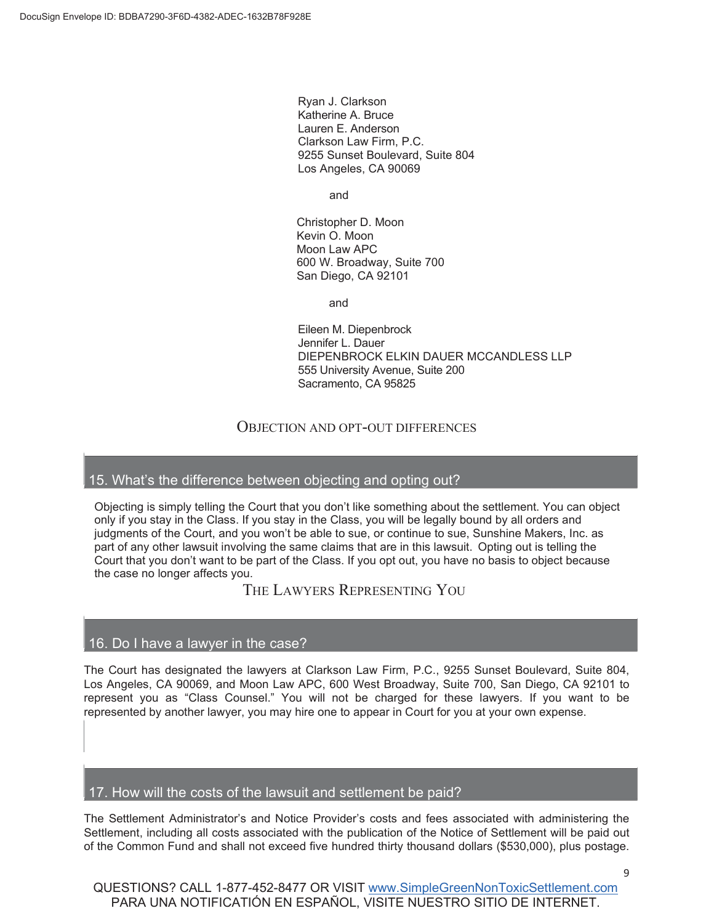#### 12. If I don't exclude myself, can I sue later?

No. Unless you exclude yourself, you give up the right to sue Defendant for the claims that this settlement resolves. You must exclude yourself from *this* Class to start or continue your own lawsuit.

#### 13. How do I get out of the settlement?

To opt out from the settlement, you must send a letter by mail saying that you want to be excluded from *O'brien et al. v. Sunshine Makers, Inc.,* San Bernardino Superior Court, Case No. CIV-SB-2027994. Be sure to include your name, address, telephone number, the approximate date of purchase, and your signature. You can't ask to be excluded at the website or on the phone. You must mail your opt out request postmarked no later than **\_\_\_\_\_\_\_\_\_\_\_\_\_\_\_\_\_, 2021** to:

> Simple Green Non-Toxic Claims Administrator Digital Settlement Group, LLC 8001 Broadway, Suite 200 Merrillville, IN 46410

Requests to opt-out that do not include all required information and/or that are not submitted on a timely basis, will be deemed null, void, and ineffective. Settlement Class Members who fail to submit a valid and timely Request for opting out on or before the deadline above shall be bound by all terms of the settlement and any Final Judgment entered in this Litigation if the Settlement is approved by the Court, regardless of whether they ineffectively or untimely requested exclusion from the settlement.

### OBJECTING TO THE SETTLEMENT

### 14. How do I tell the Court I don't like the proposed settlement?

To object to the settlement, you or your attorney must file a written objection to the Court in the Action showing the basis for your objections. Your objection must contain the following information: (i) your name, address, and telephone number, (ii) the name, address, telephone number, and email address of any attorney you have hired with respect to the objection; (iii) the factual basis and legal grounds for your objection, including any documents sufficient to establish your purchase of the Settlement Class Products at issue in this case e.g., receipt, or verification under oath as to the approximate date(s) and location(s) of the purchase(s) of the Settlement Class Products; and (iv) identification of the case name, case number, and court for any prior class action lawsuit in which you or your attorney has objected to a proposed class action settlement, the general nature of such prior objection(s), and the outcome of said prior objection(s). You must also send a copy of your objection to the Court at the following address: Superior Court of California, County of San Bernardino, San Bernardino District – Civil Division, 247 West Third Street, San Bernardino, CA 92415-0210.

You or your lawyer may, but are not required to, appear at the Final Approval Hearing. If you or your lawyer wish to appear at the Final Approval Hearing, you must file with the Court a Notice of Intention to Appear along with your written objection. You must file your written objections by certified mail or in person, along with any other supporting materials to: Superior Court of California, County of San Bernardino, San Bernardino District – Civil Division, 247 West Third Street, San Bernardino, CA 92415- 0210. Your written objection must be marked with the Case name and Case Number (*O'brien et al. v. Sunshine Makers, Inc.,* San Bernardino Superior Court, Case No. CIV-SB-2027994). In addition, you must also send copies of all documents you file with the Court to: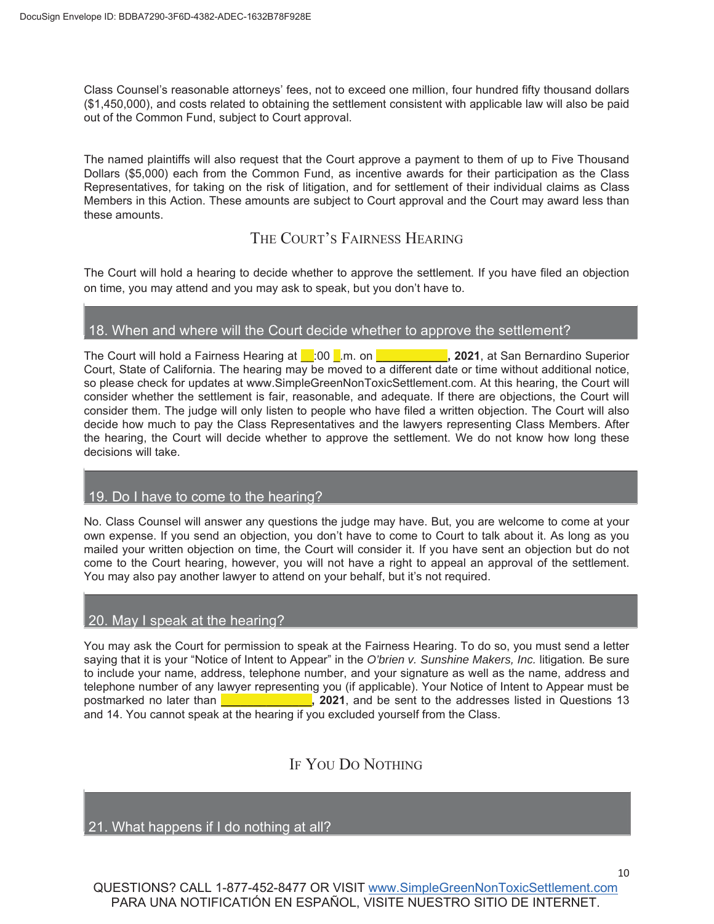Ryan J. Clarkson Katherine A. Bruce Lauren E. Anderson Clarkson Law Firm, P.C. 9255 Sunset Boulevard, Suite 804 Los Angeles, CA 90069

and

Christopher D. Moon Kevin O. Moon Moon Law APC 600 W. Broadway, Suite 700 San Diego, CA 92101

and

Eileen M. Diepenbrock Jennifer L. Dauer DIEPENBROCK ELKIN DAUER MCCANDLESS LLP 555 University Avenue, Suite 200 Sacramento, CA 95825

### OBJECTION AND OPT-OUT DIFFERENCES

#### 15. What's the difference between objecting and opting out?

Objecting is simply telling the Court that you don't like something about the settlement. You can object only if you stay in the Class. If you stay in the Class, you will be legally bound by all orders and judgments of the Court, and you won't be able to sue, or continue to sue, Sunshine Makers, Inc. as part of any other lawsuit involving the same claims that are in this lawsuit. Opting out is telling the Court that you don't want to be part of the Class. If you opt out, you have no basis to object because the case no longer affects you.

THE LAWYERS REPRESENTING YOU

#### 16. Do I have a lawyer in the case?

The Court has designated the lawyers at Clarkson Law Firm, P.C., 9255 Sunset Boulevard, Suite 804, Los Angeles, CA 90069, and Moon Law APC, 600 West Broadway, Suite 700, San Diego, CA 92101 to represent you as "Class Counsel." You will not be charged for these lawyers. If you want to be represented by another lawyer, you may hire one to appear in Court for you at your own expense.

### 17. How will the costs of the lawsuit and settlement be paid?

The Settlement Administrator's and Notice Provider's costs and fees associated with administering the Settlement, including all costs associated with the publication of the Notice of Settlement will be paid out of the Common Fund and shall not exceed five hundred thirty thousand dollars (\$530,000), plus postage.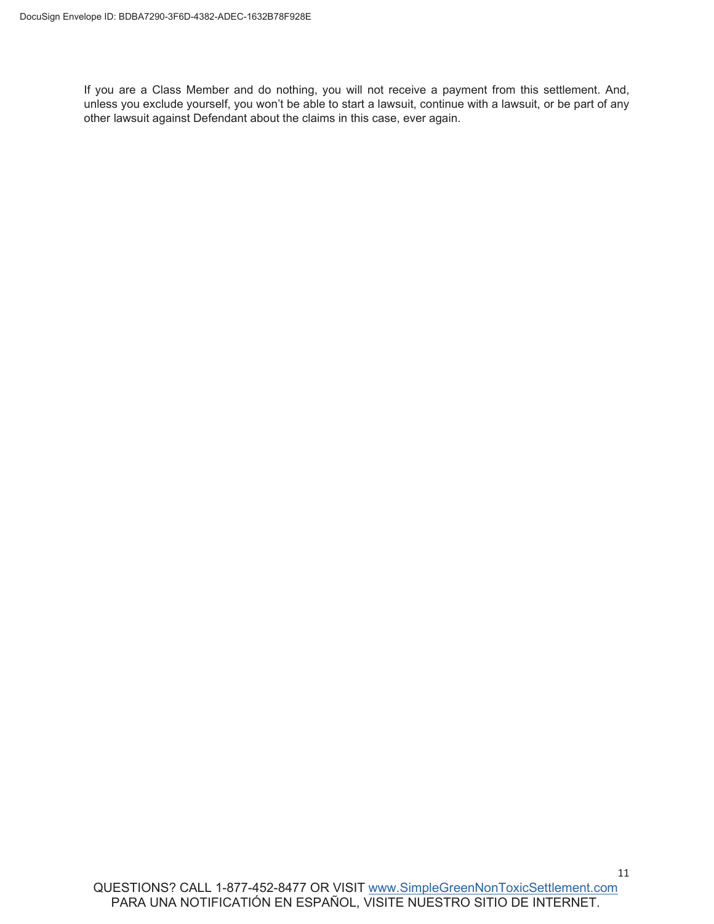Class Counsel's reasonable attorneys' fees, not to exceed one million, four hundred fifty thousand dollars (\$1,450,000), and costs related to obtaining the settlement consistent with applicable law will also be paid out of the Common Fund, subject to Court approval.

The named plaintiffs will also request that the Court approve a payment to them of up to Five Thousand Dollars (\$5,000) each from the Common Fund, as incentive awards for their participation as the Class Representatives, for taking on the risk of litigation, and for settlement of their individual claims as Class Members in this Action. These amounts are subject to Court approval and the Court may award less than these amounts.

# THE COURT'S FAIRNESS HEARING

The Court will hold a hearing to decide whether to approve the settlement. If you have filed an objection on time, you may attend and you may ask to speak, but you don't have to.

#### 18. When and where will the Court decide whether to approve the settlement?

The Court will hold a Fairness Hearing at **Let 100 Lim. on <b>Let 10** 2021, at San Bernardino Superior Court, State of California. The hearing may be moved to a different date or time without additional notice, so please check for updates at www.SimpleGreenNonToxicSettlement.com. At this hearing, the Court will consider whether the settlement is fair, reasonable, and adequate. If there are objections, the Court will consider them. The judge will only listen to people who have filed a written objection. The Court will also decide how much to pay the Class Representatives and the lawyers representing Class Members. After the hearing, the Court will decide whether to approve the settlement. We do not know how long these decisions will take.

#### 19. Do I have to come to the hearing?

No. Class Counsel will answer any questions the judge may have. But, you are welcome to come at your own expense. If you send an objection, you don't have to come to Court to talk about it. As long as you mailed your written objection on time, the Court will consider it. If you have sent an objection but do not come to the Court hearing, however, you will not have a right to appeal an approval of the settlement. You may also pay another lawyer to attend on your behalf, but it's not required.

#### 20. May I speak at the hearing?

You may ask the Court for permission to speak at the Fairness Hearing. To do so, you must send a letter saying that it is your "Notice of Intent to Appear" in the *O'brien v. Sunshine Makers, Inc.* litigation*.* Be sure to include your name, address, telephone number, and your signature as well as the name, address and telephone number of any lawyer representing you (if applicable). Your Notice of Intent to Appear must be postmarked no later than **\_\_\_\_\_\_\_\_\_\_\_\_\_\_, 2021**, and be sent to the addresses listed in Questions 13 and 14. You cannot speak at the hearing if you excluded yourself from the Class.

# IF YOU DO NOTHING

21. What happens if I do nothing at all?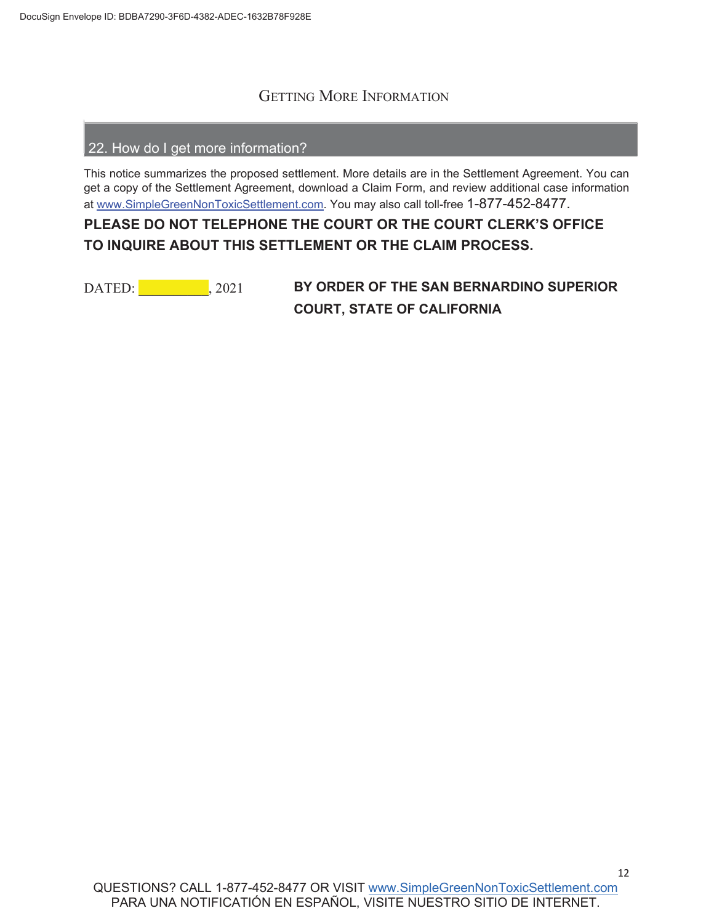If you are a Class Member and do nothing, you will not receive a payment from this settlement. And, unless you exclude yourself, you won't be able to start a lawsuit, continue with a lawsuit, or be part of any other lawsuit against Defendant about the claims in this case, ever again.